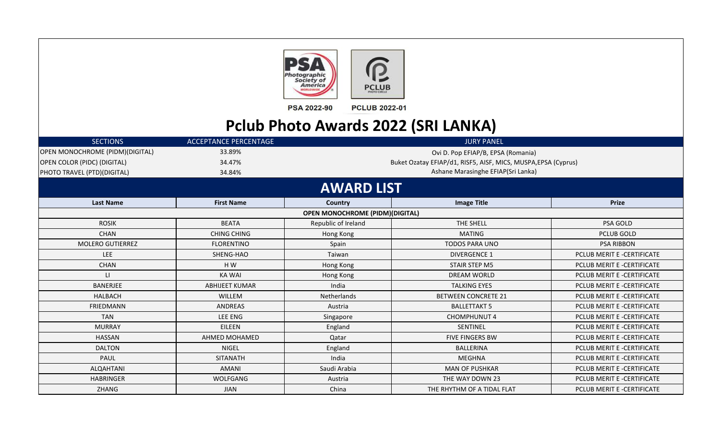



**PCLUB 2022-01** PSA 2022-90

## **Pclub Photo Awards 2022 (SRI LANKA)**

| <b>SECTIONS</b>                 | <b>ACCEPTANCE PERCENTAGE</b> | JURY PANEL                             |                                                                |                            |  |  |
|---------------------------------|------------------------------|----------------------------------------|----------------------------------------------------------------|----------------------------|--|--|
| OPEN MONOCHROME (PIDM)(DIGITAL) | 33.89%                       |                                        | Ovi D. Pop EFIAP/B, EPSA (Romania)                             |                            |  |  |
| OPEN COLOR (PIDC) (DIGITAL)     | 34.47%                       |                                        | Buket Ozatay EFIAP/d1, RISF5, AISF, MICS, MUSPA, EPSA (Cyprus) |                            |  |  |
| PHOTO TRAVEL (PTD)(DIGITAL)     | 34.84%                       |                                        | Ashane Marasinghe EFIAP(Sri Lanka)                             |                            |  |  |
|                                 |                              | <b>AWARD LIST</b>                      |                                                                |                            |  |  |
| <b>Last Name</b>                | <b>First Name</b>            | Country                                | <b>Image Title</b>                                             | <b>Prize</b>               |  |  |
|                                 |                              | <b>OPEN MONOCHROME (PIDM)(DIGITAL)</b> |                                                                |                            |  |  |
| <b>ROSIK</b>                    | <b>BEATA</b>                 | Republic of Ireland                    | THE SHELL                                                      | <b>PSA GOLD</b>            |  |  |
| <b>CHAN</b>                     | <b>CHING CHING</b>           | Hong Kong                              | <b>MATING</b>                                                  | <b>PCLUB GOLD</b>          |  |  |
| <b>MOLERO GUTIERREZ</b>         | <b>FLORENTINO</b>            | Spain                                  | <b>TODOS PARA UNO</b>                                          | <b>PSA RIBBON</b>          |  |  |
| <b>LEE</b>                      | SHENG-HAO                    | Taiwan                                 | <b>DIVERGENCE 1</b>                                            | PCLUB MERIT E -CERTIFICATE |  |  |
| <b>CHAN</b>                     | H W                          | Hong Kong                              | <b>STAIR STEP M5</b>                                           | PCLUB MERIT E -CERTIFICATE |  |  |
| $\mathbf{H}$                    | <b>KA WAI</b>                | Hong Kong                              | <b>DREAM WORLD</b>                                             | PCLUB MERIT E -CERTIFICATE |  |  |
| <b>BANERJEE</b>                 | <b>ABHIJEET KUMAR</b>        | India                                  | <b>TALKING EYES</b>                                            | PCLUB MERIT E -CERTIFICATE |  |  |
| HALBACH                         | WILLEM                       | Netherlands                            | <b>BETWEEN CONCRETE 21</b>                                     | PCLUB MERIT E -CERTIFICATE |  |  |
| <b>FRIEDMANN</b>                | <b>ANDREAS</b>               | Austria                                | <b>BALLETTAKT 5</b>                                            | PCLUB MERIT E -CERTIFICATE |  |  |
| <b>TAN</b>                      | LEE ENG                      | Singapore                              | <b>CHOMPHUNUT 4</b>                                            | PCLUB MERIT E -CERTIFICATE |  |  |
| <b>MURRAY</b>                   | EILEEN                       | England                                | SENTINEL                                                       | PCLUB MERIT E -CERTIFICATE |  |  |
| <b>HASSAN</b>                   | AHMED MOHAMED                | Qatar                                  | <b>FIVE FINGERS BW</b>                                         | PCLUB MERIT E -CERTIFICATE |  |  |
| <b>DALTON</b>                   | <b>NIGEL</b>                 | England                                | <b>BALLERINA</b>                                               | PCLUB MERIT E -CERTIFICATE |  |  |
| PAUL                            | <b>SITANATH</b>              | India                                  | <b>MEGHNA</b>                                                  | PCLUB MERIT E -CERTIFICATE |  |  |
| ALQAHTANI                       | <b>AMANI</b>                 | Saudi Arabia                           | <b>MAN OF PUSHKAR</b>                                          | PCLUB MERIT E -CERTIFICATE |  |  |
| <b>HABRINGER</b>                | <b>WOLFGANG</b>              | Austria                                | THE WAY DOWN 23                                                | PCLUB MERIT E -CERTIFICATE |  |  |
| ZHANG                           | <b>JIAN</b>                  | China                                  | THE RHYTHM OF A TIDAL FLAT                                     | PCLUB MERIT E -CERTIFICATE |  |  |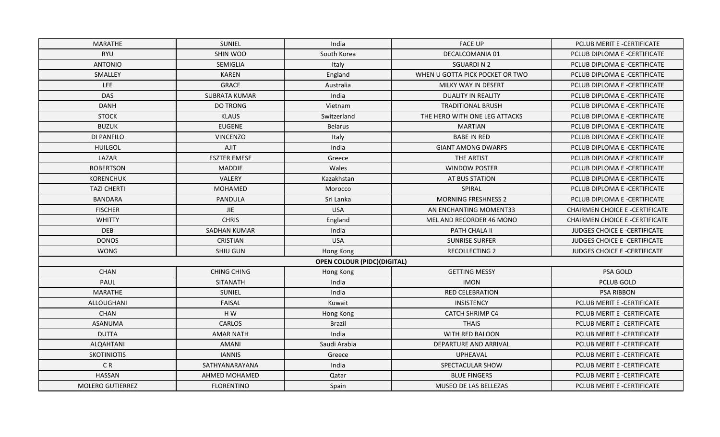| MARATHE                 | <b>SUNIEL</b>        | India                              | <b>FACE UP</b>                  | PCLUB MERIT E -CERTIFICATE            |
|-------------------------|----------------------|------------------------------------|---------------------------------|---------------------------------------|
| <b>RYU</b>              | SHIN WOO             | South Korea                        | DECALCOMANIA 01                 | PCLUB DIPLOMA E -CERTIFICATE          |
| <b>ANTONIO</b>          | SEMIGLIA             | Italy                              | <b>SGUARDIN2</b>                | PCLUB DIPLOMA E -CERTIFICATE          |
| SMALLEY                 | <b>KAREN</b>         | England                            | WHEN U GOTTA PICK POCKET OR TWO | PCLUB DIPLOMA E -CERTIFICATE          |
| LEE                     | <b>GRACE</b>         | Australia                          | MILKY WAY IN DESERT             | PCLUB DIPLOMA E -CERTIFICATE          |
| <b>DAS</b>              | <b>SUBRATA KUMAR</b> | India                              | <b>DUALITY IN REALITY</b>       | PCLUB DIPLOMA E -CERTIFICATE          |
| <b>DANH</b>             | <b>DO TRONG</b>      | Vietnam                            | <b>TRADITIONAL BRUSH</b>        | PCLUB DIPLOMA E -CERTIFICATE          |
| <b>STOCK</b>            | <b>KLAUS</b>         | Switzerland                        | THE HERO WITH ONE LEG ATTACKS   | PCLUB DIPLOMA E -CERTIFICATE          |
| <b>BUZUK</b>            | <b>EUGENE</b>        | <b>Belarus</b>                     | <b>MARTIAN</b>                  | PCLUB DIPLOMA E -CERTIFICATE          |
| <b>DI PANFILO</b>       | <b>VINCENZO</b>      | Italy                              | <b>BABE IN RED</b>              | PCLUB DIPLOMA E -CERTIFICATE          |
| <b>HUILGOL</b>          | AJIT                 | India                              | <b>GIANT AMONG DWARFS</b>       | PCLUB DIPLOMA E -CERTIFICATE          |
| LAZAR                   | <b>ESZTER EMESE</b>  | Greece                             | THE ARTIST                      | PCLUB DIPLOMA E -CERTIFICATE          |
| <b>ROBERTSON</b>        | <b>MADDIE</b>        | Wales                              | <b>WINDOW POSTER</b>            | PCLUB DIPLOMA E -CERTIFICATE          |
| <b>KORENCHUK</b>        | <b>VALERY</b>        | Kazakhstan                         | AT BUS STATION                  | PCLUB DIPLOMA E -CERTIFICATE          |
| <b>TAZI CHERTI</b>      | <b>MOHAMED</b>       | Morocco                            | SPIRAL                          | PCLUB DIPLOMA E -CERTIFICATE          |
| <b>BANDARA</b>          | PANDULA              | Sri Lanka                          | <b>MORNING FRESHNESS 2</b>      | PCLUB DIPLOMA E -CERTIFICATE          |
| <b>FISCHER</b>          | <b>JIE</b>           | <b>USA</b>                         | AN ENCHANTING MOMENT33          | <b>CHAIRMEN CHOICE E-CERTIFICATE</b>  |
| <b>WHITTY</b>           | <b>CHRIS</b>         | England                            | MEL AND RECORDER 46 MONO        | <b>CHAIRMEN CHOICE E -CERTIFICATE</b> |
| <b>DEB</b>              | <b>SADHAN KUMAR</b>  | India                              | PATH CHALA II                   | <b>JUDGES CHOICE E -CERTIFICATE</b>   |
| <b>DONOS</b>            | CRISTIAN             | <b>USA</b>                         | <b>SUNRISE SURFER</b>           | <b>JUDGES CHOICE E -CERTIFICATE</b>   |
| <b>WONG</b>             | SHIU GUN             | Hong Kong                          | <b>RECOLLECTING 2</b>           | <b>JUDGES CHOICE E -CERTIFICATE</b>   |
|                         |                      | <b>OPEN COLOUR (PIDC)(DIGITAL)</b> |                                 |                                       |
| CHAN                    | <b>CHING CHING</b>   | Hong Kong                          | <b>GETTING MESSY</b>            | PSA GOLD                              |
| PAUL                    | <b>SITANATH</b>      | India                              | <b>IMON</b>                     | <b>PCLUB GOLD</b>                     |
| MARATHE                 | SUNIEL               | India                              | <b>RED CELEBRATION</b>          | <b>PSA RIBBON</b>                     |
| ALLOUGHANI              | <b>FAISAL</b>        | Kuwait                             | INSISTENCY                      | PCLUB MERIT E -CERTIFICATE            |
| CHAN                    | HW                   | Hong Kong                          | <b>CATCH SHRIMP C4</b>          | PCLUB MERIT E -CERTIFICATE            |
| <b>ASANUMA</b>          | <b>CARLOS</b>        | <b>Brazil</b>                      | <b>THAIS</b>                    | PCLUB MERIT E -CERTIFICATE            |
| <b>DUTTA</b>            | <b>AMAR NATH</b>     | India                              | WITH RED BALOON                 | PCLUB MERIT E -CERTIFICATE            |
| ALQAHTANI               | <b>AMANI</b>         | Saudi Arabia                       | DEPARTURE AND ARRIVAL           | PCLUB MERIT E -CERTIFICATE            |
| <b>SKOTINIOTIS</b>      | <b>IANNIS</b>        | Greece                             | UPHEAVAL                        | PCLUB MERIT E -CERTIFICATE            |
| C <sub>R</sub>          | SATHYANARAYANA       | India                              | SPECTACULAR SHOW                | PCLUB MERIT E -CERTIFICATE            |
| <b>HASSAN</b>           | AHMED MOHAMED        | Qatar                              | <b>BLUE FINGERS</b>             | PCLUB MERIT E -CERTIFICATE            |
| <b>MOLERO GUTIERREZ</b> | <b>FLORENTINO</b>    | Spain                              | <b>MUSEO DE LAS BELLEZAS</b>    | PCLUB MERIT E -CERTIFICATE            |
|                         |                      |                                    |                                 |                                       |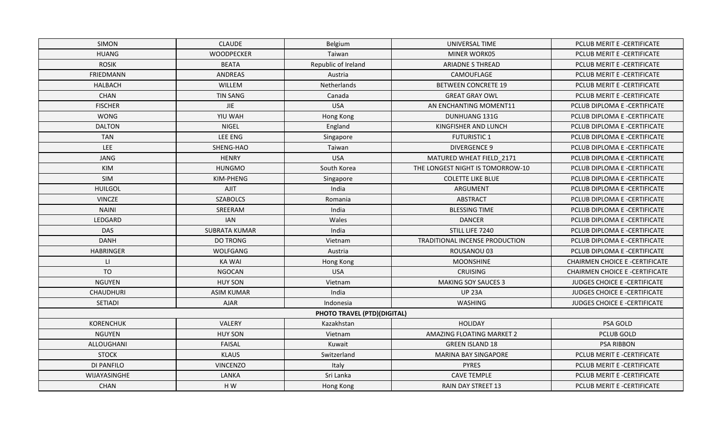| <b>SIMON</b>     | <b>CLAUDE</b>        | Belgium                     | UNIVERSAL TIME                   | PCLUB MERIT E -CERTIFICATE            |
|------------------|----------------------|-----------------------------|----------------------------------|---------------------------------------|
| <b>HUANG</b>     | <b>WOODPECKER</b>    | Taiwan                      | MINER WORK05                     | PCLUB MERIT E -CERTIFICATE            |
| <b>ROSIK</b>     | <b>BEATA</b>         | Republic of Ireland         | <b>ARIADNE S THREAD</b>          | PCLUB MERIT E -CERTIFICATE            |
| <b>FRIEDMANN</b> | <b>ANDREAS</b>       | Austria                     | CAMOUFLAGE                       | PCLUB MERIT E -CERTIFICATE            |
| <b>HALBACH</b>   | WILLEM               | Netherlands                 | <b>BETWEEN CONCRETE 19</b>       | PCLUB MERIT E -CERTIFICATE            |
| CHAN             | <b>TIN SANG</b>      | Canada                      | <b>GREAT GRAY OWL</b>            | PCLUB MERIT E -CERTIFICATE            |
| <b>FISCHER</b>   | <b>JIE</b>           | <b>USA</b>                  | AN ENCHANTING MOMENT11           | PCLUB DIPLOMA E -CERTIFICATE          |
| <b>WONG</b>      | YIU WAH              | Hong Kong                   | DUNHUANG 131G                    | PCLUB DIPLOMA E -CERTIFICATE          |
| <b>DALTON</b>    | <b>NIGEL</b>         | England                     | KINGFISHER AND LUNCH             | PCLUB DIPLOMA E -CERTIFICATE          |
| <b>TAN</b>       | LEE ENG              | Singapore                   | <b>FUTURISTIC 1</b>              | PCLUB DIPLOMA E -CERTIFICATE          |
| <b>LEE</b>       | SHENG-HAO            | Taiwan                      | <b>DIVERGENCE 9</b>              | PCLUB DIPLOMA E -CERTIFICATE          |
| <b>JANG</b>      | <b>HENRY</b>         | <b>USA</b>                  | MATURED WHEAT FIELD_2171         | PCLUB DIPLOMA E -CERTIFICATE          |
| KIM              | <b>HUNGMO</b>        | South Korea                 | THE LONGEST NIGHT IS TOMORROW-10 | PCLUB DIPLOMA E -CERTIFICATE          |
| SIM              | KIM-PHENG            | Singapore                   | <b>COLETTE LIKE BLUE</b>         | PCLUB DIPLOMA E -CERTIFICATE          |
| <b>HUILGOL</b>   | AJIT                 | India                       | ARGUMENT                         | PCLUB DIPLOMA E -CERTIFICATE          |
| <b>VINCZE</b>    | <b>SZABOLCS</b>      | Romania                     | <b>ABSTRACT</b>                  | PCLUB DIPLOMA E -CERTIFICATE          |
| <b>NAINI</b>     | SREERAM              | India                       | <b>BLESSING TIME</b>             | PCLUB DIPLOMA E -CERTIFICATE          |
| LEDGARD          | <b>IAN</b>           | Wales                       | <b>DANCER</b>                    | PCLUB DIPLOMA E -CERTIFICATE          |
| <b>DAS</b>       | <b>SUBRATA KUMAR</b> | India                       | STILL LIFE 7240                  | PCLUB DIPLOMA E -CERTIFICATE          |
| <b>DANH</b>      | <b>DO TRONG</b>      | Vietnam                     | TRADITIONAL INCENSE PRODUCTION   | PCLUB DIPLOMA E -CERTIFICATE          |
| <b>HABRINGER</b> | WOLFGANG             | Austria                     | ROUSANOU 03                      | PCLUB DIPLOMA E -CERTIFICATE          |
| $\mathsf{L}$     | <b>KA WAI</b>        | Hong Kong                   | <b>MOONSHINE</b>                 | <b>CHAIRMEN CHOICE E -CERTIFICATE</b> |
| <b>TO</b>        | <b>NGOCAN</b>        | <b>USA</b>                  | <b>CRUISING</b>                  | <b>CHAIRMEN CHOICE E -CERTIFICATE</b> |
| <b>NGUYEN</b>    | <b>HUY SON</b>       | Vietnam                     | <b>MAKING SOY SAUCES 3</b>       | JUDGES CHOICE E -CERTIFICATE          |
| <b>CHAUDHURI</b> | <b>ASIM KUMAR</b>    | India                       | <b>UP 23A</b>                    | <b>JUDGES CHOICE E -CERTIFICATE</b>   |
| SETIADI          | <b>AJAR</b>          | Indonesia                   | WASHING                          | JUDGES CHOICE E -CERTIFICATE          |
|                  |                      | PHOTO TRAVEL (PTD)(DIGITAL) |                                  |                                       |
| <b>KORENCHUK</b> | VALERY               | Kazakhstan                  | <b>HOLIDAY</b>                   | PSA GOLD                              |
| <b>NGUYEN</b>    | <b>HUY SON</b>       | Vietnam                     | <b>AMAZING FLOATING MARKET 2</b> | PCLUB GOLD                            |
| ALLOUGHANI       | <b>FAISAL</b>        | Kuwait                      | <b>GREEN ISLAND 18</b>           | <b>PSA RIBBON</b>                     |
| <b>STOCK</b>     | <b>KLAUS</b>         | Switzerland                 | MARINA BAY SINGAPORE             | PCLUB MERIT E -CERTIFICATE            |
| DI PANFILO       | <b>VINCENZO</b>      | Italy                       | <b>PYRES</b>                     | PCLUB MERIT E -CERTIFICATE            |
| WIJAYASINGHE     | LANKA                | Sri Lanka                   | <b>CAVE TEMPLE</b>               | PCLUB MERIT E -CERTIFICATE            |
| <b>CHAN</b>      | HW                   | Hong Kong                   | <b>RAIN DAY STREET 13</b>        | PCLUB MERIT E -CERTIFICATE            |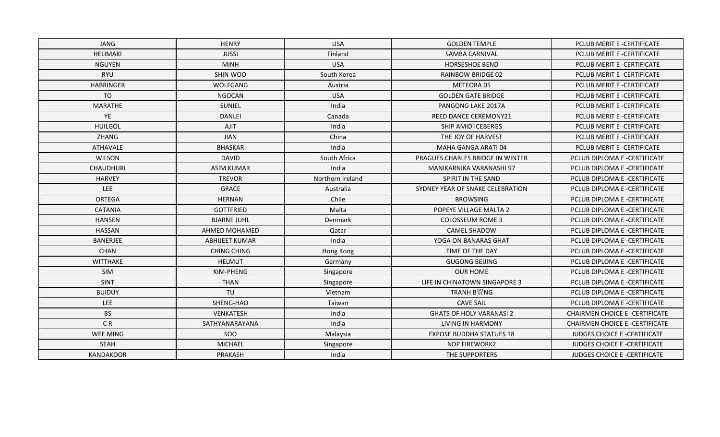| JANG             | <b>HENRY</b>          | <b>USA</b>       | <b>GOLDEN TEMPLE</b>             | PCLUB MERIT E -CERTIFICATE            |
|------------------|-----------------------|------------------|----------------------------------|---------------------------------------|
| <b>HELIMAKI</b>  | <b>JUSSI</b>          | Finland          | <b>SAMBA CARNIVAL</b>            | PCLUB MERIT E -CERTIFICATE            |
| <b>NGUYEN</b>    | <b>MINH</b>           | <b>USA</b>       | <b>HORSESHOE BEND</b>            | PCLUB MERIT E -CERTIFICATE            |
| <b>RYU</b>       | SHIN WOO              | South Korea      | <b>RAINBOW BRIDGE 02</b>         | PCLUB MERIT E -CERTIFICATE            |
| <b>HABRINGER</b> | WOLFGANG              | Austria          | METEORA 05                       | PCLUB MERIT E -CERTIFICATE            |
| <b>TO</b>        | <b>NGOCAN</b>         | <b>USA</b>       | <b>GOLDEN GATE BRIDGE</b>        | PCLUB MERIT E -CERTIFICATE            |
| <b>MARATHE</b>   | SUNIEL                | India            | PANGONG LAKE 2017A               | PCLUB MERIT E -CERTIFICATE            |
| YE               | <b>DANLEI</b>         | Canada           | <b>REED DANCE CEREMONY21</b>     | PCLUB MERIT E -CERTIFICATE            |
| <b>HUILGOL</b>   | AJIT                  | India            | SHIP AMID ICEBERGS               | PCLUB MERIT E -CERTIFICATE            |
| ZHANG            | <b>JIAN</b>           | China            | THE JOY OF HARVEST               | PCLUB MERIT E -CERTIFICATE            |
| ATHAVALE         | <b>BHASKAR</b>        | India            | MAHA GANGA ARATI 04              | PCLUB MERIT E -CERTIFICATE            |
| <b>WILSON</b>    | <b>DAVID</b>          | South Africa     | PRAGUES CHARLES BRIDGE IN WINTER | PCLUB DIPLOMA E -CERTIFICATE          |
| <b>CHAUDHURI</b> | <b>ASIM KUMAR</b>     | India            | MANIKARNIKA VARANASHI 97         | PCLUB DIPLOMA E -CERTIFICATE          |
| <b>HARVEY</b>    | <b>TREVOR</b>         | Northern Ireland | SPIRIT IN THE SAND               | PCLUB DIPLOMA E -CERTIFICATE          |
| <b>LEE</b>       | <b>GRACE</b>          | Australia        | SYDNEY YEAR OF SNAKE CELEBRATION | PCLUB DIPLOMA E -CERTIFICATE          |
| <b>ORTEGA</b>    | <b>HERNAN</b>         | Chile            | <b>BROWSING</b>                  | PCLUB DIPLOMA E -CERTIFICATE          |
| <b>CATANIA</b>   | <b>GOTTFRIED</b>      | Malta            | POPEYE VILLAGE MALTA 2           | PCLUB DIPLOMA E -CERTIFICATE          |
| <b>HANSEN</b>    | <b>BJARNE JUHL</b>    | Denmark          | <b>COLOSSEUM ROME 3</b>          | PCLUB DIPLOMA E -CERTIFICATE          |
| <b>HASSAN</b>    | <b>AHMED MOHAMED</b>  | Qatar            | <b>CAMEL SHADOW</b>              | PCLUB DIPLOMA E -CERTIFICATE          |
| <b>BANERJEE</b>  | <b>ABHIJEET KUMAR</b> | India            | YOGA ON BANARAS GHAT             | PCLUB DIPLOMA E -CERTIFICATE          |
| CHAN             | <b>CHING CHING</b>    | Hong Kong        | TIME OF THE DAY                  | PCLUB DIPLOMA E -CERTIFICATE          |
| <b>WITTHAKE</b>  | <b>HELMUT</b>         | Germany          | <b>GUGONG BEIJING</b>            | PCLUB DIPLOMA E -CERTIFICATE          |
| SIM              | KIM-PHENG             | Singapore        | <b>OUR HOME</b>                  | PCLUB DIPLOMA E -CERTIFICATE          |
| SINT             | <b>THAN</b>           | Singapore        | LIFE IN CHINATOWN SINGAPORE 3    | PCLUB DIPLOMA E -CERTIFICATE          |
| <b>BUIDUY</b>    | TU                    | Vietnam          | <b>TRANH B贸NG</b>                | PCLUB DIPLOMA E -CERTIFICATE          |
| LEE              | SHENG-HAO             | Taiwan           | <b>CAVE SAIL</b>                 | PCLUB DIPLOMA E -CERTIFICATE          |
| <b>BS</b>        | VENKATESH             | India            | <b>GHATS OF HOLY VARANASI 2</b>  | <b>CHAIRMEN CHOICE E -CERTIFICATE</b> |
| C <sub>R</sub>   | SATHYANARAYANA        | India            | LIVING IN HARMONY                | <b>CHAIRMEN CHOICE E -CERTIFICATE</b> |
| <b>WEE MING</b>  | SOO                   | Malaysia         | <b>EXPOSE BUDDHA STATUES 18</b>  | <b>JUDGES CHOICE E -CERTIFICATE</b>   |
| SEAH             | <b>MICHAEL</b>        | Singapore        | <b>NDP FIREWORK2</b>             | JUDGES CHOICE E -CERTIFICATE          |
| KANDAKOOR        | PRAKASH               | India            | THE SUPPORTERS                   | <b>JUDGES CHOICE E -CERTIFICATE</b>   |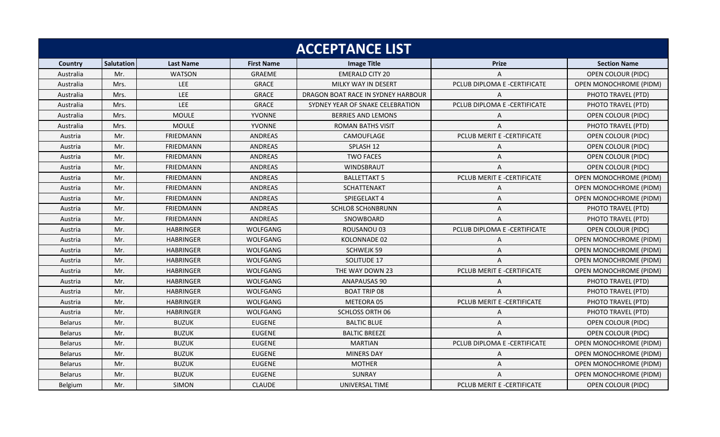| <b>ACCEPTANCE LIST</b> |                   |                  |                   |                                    |                              |                               |  |
|------------------------|-------------------|------------------|-------------------|------------------------------------|------------------------------|-------------------------------|--|
| Country                | <b>Salutation</b> | <b>Last Name</b> | <b>First Name</b> | <b>Image Title</b>                 | <b>Prize</b>                 | <b>Section Name</b>           |  |
| Australia              | Mr.               | <b>WATSON</b>    | <b>GRAEME</b>     | <b>EMERALD CITY 20</b>             |                              | OPEN COLOUR (PIDC)            |  |
| Australia              | Mrs.              | LEE              | <b>GRACE</b>      | MILKY WAY IN DESERT                | PCLUB DIPLOMA E -CERTIFICATE | <b>OPEN MONOCHROME (PIDM)</b> |  |
| Australia              | Mrs.              | <b>LEE</b>       | <b>GRACE</b>      | DRAGON BOAT RACE IN SYDNEY HARBOUR | $\mathsf{A}$                 | PHOTO TRAVEL (PTD)            |  |
| Australia              | Mrs.              | LEE              | <b>GRACE</b>      | SYDNEY YEAR OF SNAKE CELEBRATION   | PCLUB DIPLOMA E -CERTIFICATE | PHOTO TRAVEL (PTD)            |  |
| Australia              | Mrs.              | <b>MOULE</b>     | YVONNE            | <b>BERRIES AND LEMONS</b>          | A                            | OPEN COLOUR (PIDC)            |  |
| Australia              | Mrs.              | <b>MOULE</b>     | <b>YVONNE</b>     | <b>ROMAN BATHS VISIT</b>           | A                            | PHOTO TRAVEL (PTD)            |  |
| Austria                | Mr.               | FRIEDMANN        | ANDREAS           | CAMOUFLAGE                         | PCLUB MERIT E -CERTIFICATE   | OPEN COLOUR (PIDC)            |  |
| Austria                | Mr.               | <b>FRIEDMANN</b> | <b>ANDREAS</b>    | SPLASH 12                          | A                            | <b>OPEN COLOUR (PIDC)</b>     |  |
| Austria                | Mr.               | <b>FRIEDMANN</b> | <b>ANDREAS</b>    | <b>TWO FACES</b>                   | Α                            | <b>OPEN COLOUR (PIDC)</b>     |  |
| Austria                | Mr.               | <b>FRIEDMANN</b> | ANDREAS           | <b>WINDSBRAUT</b>                  | A                            | OPEN COLOUR (PIDC)            |  |
| Austria                | Mr.               | <b>FRIEDMANN</b> | <b>ANDREAS</b>    | <b>BALLETTAKT 5</b>                | PCLUB MERIT E -CERTIFICATE   | <b>OPEN MONOCHROME (PIDM)</b> |  |
| Austria                | Mr.               | FRIEDMANN        | <b>ANDREAS</b>    | <b>SCHATTENAKT</b>                 | A                            | OPEN MONOCHROME (PIDM)        |  |
| Austria                | Mr.               | FRIEDMANN        | ANDREAS           | SPIEGELAKT 4                       | Α                            | OPEN MONOCHROME (PIDM)        |  |
| Austria                | Mr.               | <b>FRIEDMANN</b> | <b>ANDREAS</b>    | <b>SCHLOß SCHÖNBRUNN</b>           | A                            | PHOTO TRAVEL (PTD)            |  |
| Austria                | Mr.               | <b>FRIEDMANN</b> | <b>ANDREAS</b>    | SNOWBOARD                          | A                            | PHOTO TRAVEL (PTD)            |  |
| Austria                | Mr.               | <b>HABRINGER</b> | <b>WOLFGANG</b>   | ROUSANOU 03                        | PCLUB DIPLOMA E -CERTIFICATE | <b>OPEN COLOUR (PIDC)</b>     |  |
| Austria                | Mr.               | <b>HABRINGER</b> | WOLFGANG          | KOLONNADE 02                       | A                            | OPEN MONOCHROME (PIDM)        |  |
| Austria                | Mr.               | <b>HABRINGER</b> | WOLFGANG          | SCHWEJK 59                         | Α                            | OPEN MONOCHROME (PIDM)        |  |
| Austria                | Mr.               | <b>HABRINGER</b> | WOLFGANG          | SOLITUDE 17                        | A                            | OPEN MONOCHROME (PIDM)        |  |
| Austria                | Mr.               | <b>HABRINGER</b> | <b>WOLFGANG</b>   | THE WAY DOWN 23                    | PCLUB MERIT E -CERTIFICATE   | <b>OPEN MONOCHROME (PIDM)</b> |  |
| Austria                | Mr.               | <b>HABRINGER</b> | <b>WOLFGANG</b>   | ANAPAUSAS 90                       | Α                            | PHOTO TRAVEL (PTD)            |  |
| Austria                | Mr.               | <b>HABRINGER</b> | WOLFGANG          | <b>BOAT TRIP 08</b>                | $\mathsf{A}$                 | PHOTO TRAVEL (PTD)            |  |
| Austria                | Mr.               | <b>HABRINGER</b> | WOLFGANG          | <b>METEORA 05</b>                  | PCLUB MERIT E -CERTIFICATE   | PHOTO TRAVEL (PTD)            |  |
| Austria                | Mr.               | <b>HABRINGER</b> | <b>WOLFGANG</b>   | <b>SCHLOSS ORTH 06</b>             | Α                            | PHOTO TRAVEL (PTD)            |  |
| <b>Belarus</b>         | Mr.               | <b>BUZUK</b>     | <b>EUGENE</b>     | <b>BALTIC BLUE</b>                 | Α                            | <b>OPEN COLOUR (PIDC)</b>     |  |
| <b>Belarus</b>         | Mr.               | <b>BUZUK</b>     | <b>EUGENE</b>     | <b>BALTIC BREEZE</b>               | A                            | OPEN COLOUR (PIDC)            |  |
| <b>Belarus</b>         | Mr.               | <b>BUZUK</b>     | <b>EUGENE</b>     | <b>MARTIAN</b>                     | PCLUB DIPLOMA E -CERTIFICATE | OPEN MONOCHROME (PIDM)        |  |
| <b>Belarus</b>         | Mr.               | <b>BUZUK</b>     | <b>EUGENE</b>     | <b>MINERS DAY</b>                  | A                            | <b>OPEN MONOCHROME (PIDM)</b> |  |
| <b>Belarus</b>         | Mr.               | <b>BUZUK</b>     | <b>EUGENE</b>     | <b>MOTHER</b>                      | Α                            | <b>OPEN MONOCHROME (PIDM)</b> |  |
| <b>Belarus</b>         | Mr.               | <b>BUZUK</b>     | <b>EUGENE</b>     | SUNRAY                             | A                            | OPEN MONOCHROME (PIDM)        |  |
| Belgium                | Mr.               | SIMON            | <b>CLAUDE</b>     | UNIVERSAL TIME                     | PCLUB MERIT E -CERTIFICATE   | OPEN COLOUR (PIDC)            |  |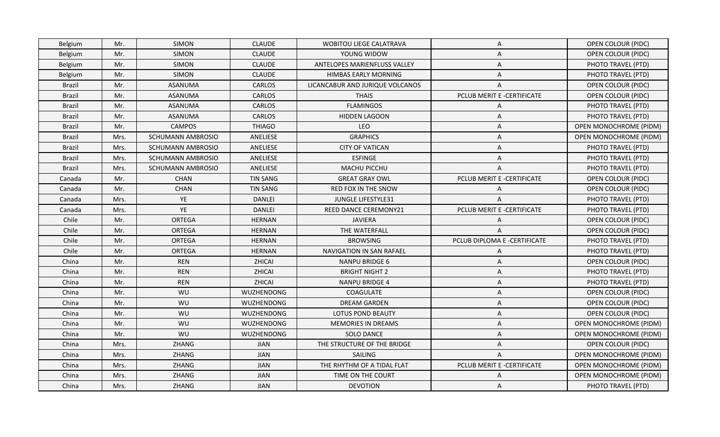| <b>Belgium</b> | Mr.  | <b>SIMON</b>             | <b>CLAUDE</b>     | <b>WOBITOU LIEGE CALATRAVA</b>  | A                            | <b>OPEN COLOUR (PIDC)</b>     |
|----------------|------|--------------------------|-------------------|---------------------------------|------------------------------|-------------------------------|
| Belgium        | Mr.  | SIMON                    | <b>CLAUDE</b>     | YOUNG WIDOW                     | Α                            | <b>OPEN COLOUR (PIDC)</b>     |
| Belgium        | Mr.  | <b>SIMON</b>             | <b>CLAUDE</b>     | ANTELOPES MARIENFLUSS VALLEY    | Α                            | PHOTO TRAVEL (PTD)            |
| Belgium        | Mr.  | <b>SIMON</b>             | <b>CLAUDE</b>     | <b>HIMBAS EARLY MORNING</b>     | Α                            | PHOTO TRAVEL (PTD)            |
| Brazil         | Mr.  | ASANUMA                  | <b>CARLOS</b>     | LICANCABUR AND JURIQUE VOLCANOS | Α                            | <b>OPEN COLOUR (PIDC)</b>     |
| Brazil         | Mr.  | ASANUMA                  | <b>CARLOS</b>     | <b>THAIS</b>                    | PCLUB MERIT E -CERTIFICATE   | OPEN COLOUR (PIDC)            |
| <b>Brazil</b>  | Mr.  | ASANUMA                  | CARLOS            | <b>FLAMINGOS</b>                | Α                            | PHOTO TRAVEL (PTD)            |
| <b>Brazil</b>  | Mr.  | ASANUMA                  | <b>CARLOS</b>     | <b>HIDDEN LAGOON</b>            | Α                            | PHOTO TRAVEL (PTD)            |
| Brazil         | Mr.  | <b>CAMPOS</b>            | <b>THIAGO</b>     | LEO                             | A                            | <b>OPEN MONOCHROME (PIDM)</b> |
| Brazil         | Mrs. | SCHUMANN AMBROSIO        | ANELIESE          | <b>GRAPHICS</b>                 | A                            | OPEN MONOCHROME (PIDM)        |
| Brazil         | Mrs. | <b>SCHUMANN AMBROSIO</b> | ANELIESE          | <b>CITY OF VATICAN</b>          | A                            | PHOTO TRAVEL (PTD)            |
| <b>Brazil</b>  | Mrs. | SCHUMANN AMBROSIO        | ANELIESE          | <b>ESFINGE</b>                  | A                            | PHOTO TRAVEL (PTD)            |
| <b>Brazil</b>  | Mrs. | SCHUMANN AMBROSIO        | ANELIESE          | MACHU PICCHU                    | Α                            | PHOTO TRAVEL (PTD)            |
| Canada         | Mr.  | <b>CHAN</b>              | <b>TIN SANG</b>   | <b>GREAT GRAY OWL</b>           | PCLUB MERIT E -CERTIFICATE   | <b>OPEN COLOUR (PIDC)</b>     |
| Canada         | Mr.  | <b>CHAN</b>              | <b>TIN SANG</b>   | <b>RED FOX IN THE SNOW</b>      | A                            | <b>OPEN COLOUR (PIDC)</b>     |
| Canada         | Mrs. | YE                       | <b>DANLEI</b>     | JUNGLE LIFESTYLE31              | A                            | PHOTO TRAVEL (PTD)            |
| Canada         | Mrs. | YE                       | <b>DANLEI</b>     | REED DANCE CEREMONY21           | PCLUB MERIT E -CERTIFICATE   | PHOTO TRAVEL (PTD)            |
| Chile          | Mr.  | <b>ORTEGA</b>            | <b>HERNAN</b>     | <b>JAVIERA</b>                  | Α                            | OPEN COLOUR (PIDC)            |
| Chile          | Mr.  | <b>ORTEGA</b>            | <b>HERNAN</b>     | THE WATERFALL                   | A                            | OPEN COLOUR (PIDC)            |
| Chile          | Mr.  | <b>ORTEGA</b>            | <b>HERNAN</b>     | <b>BROWSING</b>                 | PCLUB DIPLOMA E -CERTIFICATE | PHOTO TRAVEL (PTD)            |
| Chile          | Mr.  | ORTEGA                   | <b>HERNAN</b>     | <b>NAVIGATION IN SAN RAFAEL</b> | A                            | PHOTO TRAVEL (PTD)            |
| China          | Mr.  | <b>REN</b>               | ZHICAI            | <b>NANPU BRIDGE 6</b>           | A                            | <b>OPEN COLOUR (PIDC)</b>     |
| China          | Mr.  | <b>REN</b>               | ZHICAI            | <b>BRIGHT NIGHT 2</b>           | A                            | PHOTO TRAVEL (PTD)            |
| China          | Mr.  | <b>REN</b>               | <b>ZHICAI</b>     | <b>NANPU BRIDGE 4</b>           | A                            | PHOTO TRAVEL (PTD)            |
| China          | Mr.  | WU                       | <b>WUZHENDONG</b> | COAGULATE                       | A                            | <b>OPEN COLOUR (PIDC)</b>     |
| China          | Mr.  | WU                       | WUZHENDONG        | <b>DREAM GARDEN</b>             | A                            | OPEN COLOUR (PIDC)            |
| China          | Mr.  | WU                       | WUZHENDONG        | LOTUS POND BEAUTY               | A                            | <b>OPEN COLOUR (PIDC)</b>     |
| China          | Mr.  | WU                       | WUZHENDONG        | MEMORIES IN DREAMS              | A                            | OPEN MONOCHROME (PIDM)        |
| China          | Mr.  | WU                       | <b>WUZHENDONG</b> | <b>SOLO DANCE</b>               | A                            | OPEN MONOCHROME (PIDM)        |
| China          | Mrs. | ZHANG                    | <b>JIAN</b>       | THE STRUCTURE OF THE BRIDGE     | A                            | <b>OPEN COLOUR (PIDC)</b>     |
| China          | Mrs. | ZHANG                    | <b>JIAN</b>       | SAILING                         | A                            | <b>OPEN MONOCHROME (PIDM)</b> |
| China          | Mrs. | ZHANG                    | <b>JIAN</b>       | THE RHYTHM OF A TIDAL FLAT      | PCLUB MERIT E -CERTIFICATE   | OPEN MONOCHROME (PIDM)        |
| China          | Mrs. | ZHANG                    | <b>JIAN</b>       | TIME ON THE COURT               | A                            | <b>OPEN MONOCHROME (PIDM)</b> |
| China          | Mrs. | ZHANG                    | JIAN              | <b>DEVOTION</b>                 | $\mathsf{A}$                 | PHOTO TRAVEL (PTD)            |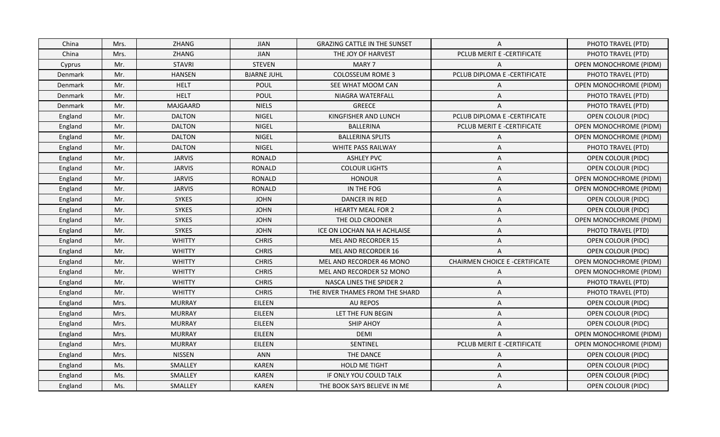| China   | Mrs. | ZHANG         | <b>JIAN</b>        | <b>GRAZING CATTLE IN THE SUNSET</b> | A                                     | PHOTO TRAVEL (PTD)            |
|---------|------|---------------|--------------------|-------------------------------------|---------------------------------------|-------------------------------|
| China   | Mrs. | ZHANG         | <b>JIAN</b>        | THE JOY OF HARVEST                  | PCLUB MERIT E -CERTIFICATE            | PHOTO TRAVEL (PTD)            |
| Cyprus  | Mr.  | <b>STAVRI</b> | <b>STEVEN</b>      | MARY 7                              | $\overline{A}$                        | OPEN MONOCHROME (PIDM)        |
| Denmark | Mr.  | <b>HANSEN</b> | <b>BJARNE JUHL</b> | <b>COLOSSEUM ROME 3</b>             | PCLUB DIPLOMA E -CERTIFICATE          | PHOTO TRAVEL (PTD)            |
| Denmark | Mr.  | <b>HELT</b>   | POUL               | SEE WHAT MOOM CAN                   | A                                     | OPEN MONOCHROME (PIDM)        |
| Denmark | Mr.  | <b>HELT</b>   | <b>POUL</b>        | NIAGRA WATERFALL                    | A                                     | PHOTO TRAVEL (PTD)            |
| Denmark | Mr.  | MAJGAARD      | <b>NIELS</b>       | GREECE                              | A                                     | PHOTO TRAVEL (PTD)            |
| England | Mr.  | <b>DALTON</b> | <b>NIGEL</b>       | KINGFISHER AND LUNCH                | PCLUB DIPLOMA E -CERTIFICATE          | <b>OPEN COLOUR (PIDC)</b>     |
| England | Mr.  | <b>DALTON</b> | NIGEL              | <b>BALLERINA</b>                    | PCLUB MERIT E -CERTIFICATE            | <b>OPEN MONOCHROME (PIDM)</b> |
| England | Mr.  | <b>DALTON</b> | <b>NIGEL</b>       | <b>BALLERINA SPLITS</b>             | A                                     | <b>OPEN MONOCHROME (PIDM)</b> |
| England | Mr.  | <b>DALTON</b> | NIGEL              | WHITE PASS RAILWAY                  | A                                     | PHOTO TRAVEL (PTD)            |
| England | Mr.  | <b>JARVIS</b> | <b>RONALD</b>      | <b>ASHLEY PVC</b>                   | A                                     | <b>OPEN COLOUR (PIDC)</b>     |
| England | Mr.  | <b>JARVIS</b> | <b>RONALD</b>      | <b>COLOUR LIGHTS</b>                | Α                                     | <b>OPEN COLOUR (PIDC)</b>     |
| England | Mr.  | <b>JARVIS</b> | <b>RONALD</b>      | <b>HONOUR</b>                       | A                                     | OPEN MONOCHROME (PIDM)        |
| England | Mr.  | <b>JARVIS</b> | <b>RONALD</b>      | IN THE FOG                          | A                                     | <b>OPEN MONOCHROME (PIDM)</b> |
| England | Mr.  | <b>SYKES</b>  | <b>JOHN</b>        | DANCER IN RED                       | A                                     | <b>OPEN COLOUR (PIDC)</b>     |
| England | Mr.  | <b>SYKES</b>  | <b>JOHN</b>        | <b>HEARTY MEAL FOR 2</b>            | A                                     | <b>OPEN COLOUR (PIDC)</b>     |
| England | Mr.  | <b>SYKES</b>  | <b>JOHN</b>        | THE OLD CROONER                     | A                                     | OPEN MONOCHROME (PIDM)        |
| England | Mr.  | <b>SYKES</b>  | <b>JOHN</b>        | ICE ON LOCHAN NA H ACHLAISE         | A                                     | PHOTO TRAVEL (PTD)            |
| England | Mr.  | <b>WHITTY</b> | <b>CHRIS</b>       | <b>MEL AND RECORDER 15</b>          | A                                     | <b>OPEN COLOUR (PIDC)</b>     |
| England | Mr.  | <b>WHITTY</b> | <b>CHRIS</b>       | <b>MEL AND RECORDER 16</b>          | A                                     | <b>OPEN COLOUR (PIDC)</b>     |
| England | Mr.  | <b>WHITTY</b> | <b>CHRIS</b>       | MEL AND RECORDER 46 MONO            | <b>CHAIRMEN CHOICE E -CERTIFICATE</b> | <b>OPEN MONOCHROME (PIDM)</b> |
| England | Mr.  | <b>WHITTY</b> | <b>CHRIS</b>       | MEL AND RECORDER 52 MONO            | A                                     | OPEN MONOCHROME (PIDM)        |
| England | Mr.  | <b>WHITTY</b> | <b>CHRIS</b>       | <b>NASCA LINES THE SPIDER 2</b>     | Α                                     | PHOTO TRAVEL (PTD)            |
| England | Mr.  | <b>WHITTY</b> | <b>CHRIS</b>       | THE RIVER THAMES FROM THE SHARD     | A                                     | PHOTO TRAVEL (PTD)            |
| England | Mrs. | <b>MURRAY</b> | EILEEN             | <b>AU REPOS</b>                     | A                                     | <b>OPEN COLOUR (PIDC)</b>     |
| England | Mrs. | <b>MURRAY</b> | EILEEN             | LET THE FUN BEGIN                   | A                                     | <b>OPEN COLOUR (PIDC)</b>     |
| England | Mrs. | <b>MURRAY</b> | EILEEN             | <b>SHIP AHOY</b>                    | Α                                     | OPEN COLOUR (PIDC)            |
| England | Mrs. | <b>MURRAY</b> | EILEEN             | <b>DEMI</b>                         | A                                     | <b>OPEN MONOCHROME (PIDM)</b> |
| England | Mrs. | <b>MURRAY</b> | EILEEN             | SENTINEL                            | PCLUB MERIT E -CERTIFICATE            | <b>OPEN MONOCHROME (PIDM)</b> |
| England | Mrs. | <b>NISSEN</b> | ANN                | THE DANCE                           | A                                     | <b>OPEN COLOUR (PIDC)</b>     |
| England | Ms.  | SMALLEY       | <b>KAREN</b>       | HOLD ME TIGHT                       | A                                     | <b>OPEN COLOUR (PIDC)</b>     |
| England | Ms.  | SMALLEY       | <b>KAREN</b>       | IF ONLY YOU COULD TALK              | A                                     | <b>OPEN COLOUR (PIDC)</b>     |
| England | Ms.  | SMALLEY       | <b>KAREN</b>       | THE BOOK SAYS BELIEVE IN ME         | A                                     | <b>OPEN COLOUR (PIDC)</b>     |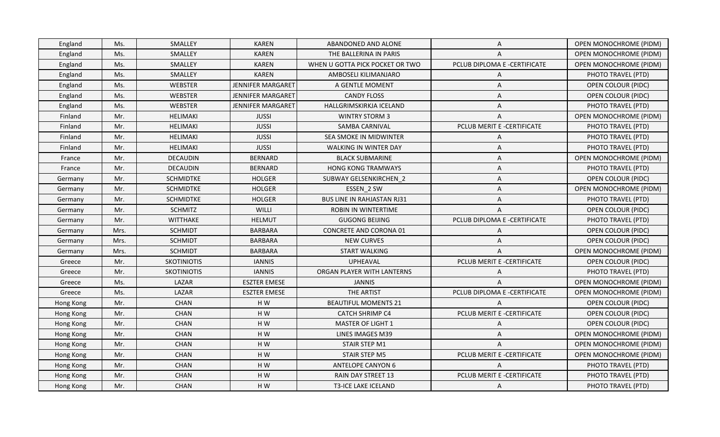| Ms.<br>SMALLEY<br><b>KAREN</b><br>THE BALLERINA IN PARIS<br><b>OPEN MONOCHROME (PIDM)</b><br>England<br>A<br>PCLUB DIPLOMA E -CERTIFICATE<br>Ms.<br>SMALLEY<br><b>KAREN</b><br>WHEN U GOTTA PICK POCKET OR TWO<br>OPEN MONOCHROME (PIDM)<br>England<br>England<br>Ms.<br>SMALLEY<br><b>KAREN</b><br>AMBOSELI KILIMANJARO<br>PHOTO TRAVEL (PTD)<br>A<br><b>JENNIFER MARGARET</b><br>England<br>Ms.<br>WEBSTER<br>A GENTLE MOMENT<br>OPEN COLOUR (PIDC)<br>A<br>Ms.<br>WEBSTER<br>JENNIFER MARGARET<br><b>CANDY FLOSS</b><br><b>OPEN COLOUR (PIDC)</b><br>England<br>A<br>WEBSTER<br>PHOTO TRAVEL (PTD)<br>Ms.<br><b>JENNIFER MARGARET</b><br><b>HALLGRIMSKIRKJA ICELAND</b><br>England<br>A<br>Mr.<br>HELIMAKI<br><b>JUSSI</b><br><b>WINTRY STORM 3</b><br>OPEN MONOCHROME (PIDM)<br>Finland<br>Α<br>Mr.<br><b>HELIMAKI</b><br><b>JUSSI</b><br><b>SAMBA CARNIVAL</b><br>PCLUB MERIT E -CERTIFICATE<br>PHOTO TRAVEL (PTD)<br>Finland<br>Mr.<br><b>HELIMAKI</b><br><b>JUSSI</b><br>PHOTO TRAVEL (PTD)<br>Finland<br><b>SEA SMOKE IN MIDWINTER</b><br>A<br><b>JUSSI</b><br>Finland<br>Mr.<br><b>HELIMAKI</b><br><b>WALKING IN WINTER DAY</b><br>PHOTO TRAVEL (PTD)<br>A<br>Mr.<br><b>DECAUDIN</b><br><b>BERNARD</b><br><b>BLACK SUBMARINE</b><br><b>OPEN MONOCHROME (PIDM)</b><br>France<br>A<br>Mr.<br><b>DECAUDIN</b><br><b>BERNARD</b><br><b>HONG KONG TRAMWAYS</b><br>PHOTO TRAVEL (PTD)<br>France<br>Α<br>Mr.<br><b>SCHMIDTKE</b><br><b>HOLGER</b><br>SUBWAY GELSENKIRCHEN 2<br>OPEN COLOUR (PIDC)<br>Germany<br>A<br>Mr.<br><b>SCHMIDTKE</b><br><b>HOLGER</b><br>OPEN MONOCHROME (PIDM)<br>ESSEN 2 SW<br>Germany<br>A<br><b>SCHMIDTKE</b><br><b>HOLGER</b><br><b>BUS LINE IN RAHJASTAN RJ31</b><br>Mr.<br>PHOTO TRAVEL (PTD)<br>Germany<br>A<br>Mr.<br><b>SCHMITZ</b><br>WILLI<br>ROBIN IN WINTERTIME<br><b>OPEN COLOUR (PIDC)</b><br>Germany<br>A<br>PCLUB DIPLOMA E -CERTIFICATE<br>Mr.<br><b>WITTHAKE</b><br><b>HELMUT</b><br><b>GUGONG BEIJING</b><br>PHOTO TRAVEL (PTD)<br>Germany<br><b>SCHMIDT</b><br><b>BARBARA</b><br><b>CONCRETE AND CORONA 01</b><br><b>OPEN COLOUR (PIDC)</b><br>Mrs.<br>Germany<br>A<br><b>SCHMIDT</b><br><b>BARBARA</b><br>OPEN COLOUR (PIDC)<br>Mrs.<br><b>NEW CURVES</b><br>Germany<br>A<br><b>SCHMIDT</b><br>OPEN MONOCHROME (PIDM)<br>Mrs.<br><b>BARBARA</b><br><b>START WALKING</b><br>Germany<br>A<br>PCLUB MERIT E -CERTIFICATE<br>Mr.<br><b>SKOTINIOTIS</b><br><b>IANNIS</b><br><b>UPHEAVAL</b><br>OPEN COLOUR (PIDC)<br>Greece<br>Greece<br>Mr.<br><b>SKOTINIOTIS</b><br><b>IANNIS</b><br>ORGAN PLAYER WITH LANTERNS<br>PHOTO TRAVEL (PTD)<br>Α<br>Ms.<br>LAZAR<br><b>ESZTER EMESE</b><br><b>OPEN MONOCHROME (PIDM)</b><br>Greece<br><b>JANNIS</b><br>$\overline{A}$<br>Ms.<br>LAZAR<br>THE ARTIST<br>PCLUB DIPLOMA E -CERTIFICATE<br>OPEN MONOCHROME (PIDM)<br><b>ESZTER EMESE</b><br>Greece<br>Mr.<br>CHAN<br>HW<br><b>BEAUTIFUL MOMENTS 21</b><br>OPEN COLOUR (PIDC)<br>Hong Kong<br>A<br>PCLUB MERIT E -CERTIFICATE<br><b>CHAN</b><br>HW<br><b>CATCH SHRIMP C4</b><br>Mr.<br>OPEN COLOUR (PIDC)<br>Hong Kong<br>HW<br>Mr.<br><b>CHAN</b><br><b>MASTER OF LIGHT 1</b><br><b>OPEN COLOUR (PIDC)</b><br>Hong Kong<br>A<br>Mr.<br><b>CHAN</b><br>HW<br>LINES IMAGES M39<br><b>OPEN MONOCHROME (PIDM)</b><br>Hong Kong<br>A<br>Mr.<br>CHAN<br>H W<br>STAIR STEP M1<br><b>OPEN MONOCHROME (PIDM)</b><br>Hong Kong<br>A<br>Mr.<br>CHAN<br>H W<br>STAIR STEP M5<br>PCLUB MERIT E -CERTIFICATE<br>OPEN MONOCHROME (PIDM)<br>Hong Kong<br><b>CHAN</b><br>HW<br><b>ANTELOPE CANYON 6</b><br>PHOTO TRAVEL (PTD)<br>Hong Kong<br>Mr.<br>A<br>Mr.<br><b>CHAN</b><br>H W<br>PCLUB MERIT E -CERTIFICATE<br>PHOTO TRAVEL (PTD)<br>Hong Kong<br>RAIN DAY STREET 13<br>HW<br>PHOTO TRAVEL (PTD)<br>Mr.<br><b>CHAN</b><br><b>T3-ICE LAKE ICELAND</b><br>Hong Kong<br>A | England | Ms. | SMALLEY | <b>KAREN</b> | ABANDONED AND ALONE | A | OPEN MONOCHROME (PIDM) |
|-------------------------------------------------------------------------------------------------------------------------------------------------------------------------------------------------------------------------------------------------------------------------------------------------------------------------------------------------------------------------------------------------------------------------------------------------------------------------------------------------------------------------------------------------------------------------------------------------------------------------------------------------------------------------------------------------------------------------------------------------------------------------------------------------------------------------------------------------------------------------------------------------------------------------------------------------------------------------------------------------------------------------------------------------------------------------------------------------------------------------------------------------------------------------------------------------------------------------------------------------------------------------------------------------------------------------------------------------------------------------------------------------------------------------------------------------------------------------------------------------------------------------------------------------------------------------------------------------------------------------------------------------------------------------------------------------------------------------------------------------------------------------------------------------------------------------------------------------------------------------------------------------------------------------------------------------------------------------------------------------------------------------------------------------------------------------------------------------------------------------------------------------------------------------------------------------------------------------------------------------------------------------------------------------------------------------------------------------------------------------------------------------------------------------------------------------------------------------------------------------------------------------------------------------------------------------------------------------------------------------------------------------------------------------------------------------------------------------------------------------------------------------------------------------------------------------------------------------------------------------------------------------------------------------------------------------------------------------------------------------------------------------------------------------------------------------------------------------------------------------------------------------------------------------------------------------------------------------------------------------------------------------------------------------------------------------------------------------------------------------------------------------------------------------------------------------------------------------------------------------------------------------------------------------------------------------------------------------------------------------------------------------------------------------------------------------------------------------------------------------------------------------------------------------|---------|-----|---------|--------------|---------------------|---|------------------------|
|                                                                                                                                                                                                                                                                                                                                                                                                                                                                                                                                                                                                                                                                                                                                                                                                                                                                                                                                                                                                                                                                                                                                                                                                                                                                                                                                                                                                                                                                                                                                                                                                                                                                                                                                                                                                                                                                                                                                                                                                                                                                                                                                                                                                                                                                                                                                                                                                                                                                                                                                                                                                                                                                                                                                                                                                                                                                                                                                                                                                                                                                                                                                                                                                                                                                                                                                                                                                                                                                                                                                                                                                                                                                                                                                                                                                 |         |     |         |              |                     |   |                        |
|                                                                                                                                                                                                                                                                                                                                                                                                                                                                                                                                                                                                                                                                                                                                                                                                                                                                                                                                                                                                                                                                                                                                                                                                                                                                                                                                                                                                                                                                                                                                                                                                                                                                                                                                                                                                                                                                                                                                                                                                                                                                                                                                                                                                                                                                                                                                                                                                                                                                                                                                                                                                                                                                                                                                                                                                                                                                                                                                                                                                                                                                                                                                                                                                                                                                                                                                                                                                                                                                                                                                                                                                                                                                                                                                                                                                 |         |     |         |              |                     |   |                        |
|                                                                                                                                                                                                                                                                                                                                                                                                                                                                                                                                                                                                                                                                                                                                                                                                                                                                                                                                                                                                                                                                                                                                                                                                                                                                                                                                                                                                                                                                                                                                                                                                                                                                                                                                                                                                                                                                                                                                                                                                                                                                                                                                                                                                                                                                                                                                                                                                                                                                                                                                                                                                                                                                                                                                                                                                                                                                                                                                                                                                                                                                                                                                                                                                                                                                                                                                                                                                                                                                                                                                                                                                                                                                                                                                                                                                 |         |     |         |              |                     |   |                        |
|                                                                                                                                                                                                                                                                                                                                                                                                                                                                                                                                                                                                                                                                                                                                                                                                                                                                                                                                                                                                                                                                                                                                                                                                                                                                                                                                                                                                                                                                                                                                                                                                                                                                                                                                                                                                                                                                                                                                                                                                                                                                                                                                                                                                                                                                                                                                                                                                                                                                                                                                                                                                                                                                                                                                                                                                                                                                                                                                                                                                                                                                                                                                                                                                                                                                                                                                                                                                                                                                                                                                                                                                                                                                                                                                                                                                 |         |     |         |              |                     |   |                        |
|                                                                                                                                                                                                                                                                                                                                                                                                                                                                                                                                                                                                                                                                                                                                                                                                                                                                                                                                                                                                                                                                                                                                                                                                                                                                                                                                                                                                                                                                                                                                                                                                                                                                                                                                                                                                                                                                                                                                                                                                                                                                                                                                                                                                                                                                                                                                                                                                                                                                                                                                                                                                                                                                                                                                                                                                                                                                                                                                                                                                                                                                                                                                                                                                                                                                                                                                                                                                                                                                                                                                                                                                                                                                                                                                                                                                 |         |     |         |              |                     |   |                        |
|                                                                                                                                                                                                                                                                                                                                                                                                                                                                                                                                                                                                                                                                                                                                                                                                                                                                                                                                                                                                                                                                                                                                                                                                                                                                                                                                                                                                                                                                                                                                                                                                                                                                                                                                                                                                                                                                                                                                                                                                                                                                                                                                                                                                                                                                                                                                                                                                                                                                                                                                                                                                                                                                                                                                                                                                                                                                                                                                                                                                                                                                                                                                                                                                                                                                                                                                                                                                                                                                                                                                                                                                                                                                                                                                                                                                 |         |     |         |              |                     |   |                        |
|                                                                                                                                                                                                                                                                                                                                                                                                                                                                                                                                                                                                                                                                                                                                                                                                                                                                                                                                                                                                                                                                                                                                                                                                                                                                                                                                                                                                                                                                                                                                                                                                                                                                                                                                                                                                                                                                                                                                                                                                                                                                                                                                                                                                                                                                                                                                                                                                                                                                                                                                                                                                                                                                                                                                                                                                                                                                                                                                                                                                                                                                                                                                                                                                                                                                                                                                                                                                                                                                                                                                                                                                                                                                                                                                                                                                 |         |     |         |              |                     |   |                        |
|                                                                                                                                                                                                                                                                                                                                                                                                                                                                                                                                                                                                                                                                                                                                                                                                                                                                                                                                                                                                                                                                                                                                                                                                                                                                                                                                                                                                                                                                                                                                                                                                                                                                                                                                                                                                                                                                                                                                                                                                                                                                                                                                                                                                                                                                                                                                                                                                                                                                                                                                                                                                                                                                                                                                                                                                                                                                                                                                                                                                                                                                                                                                                                                                                                                                                                                                                                                                                                                                                                                                                                                                                                                                                                                                                                                                 |         |     |         |              |                     |   |                        |
|                                                                                                                                                                                                                                                                                                                                                                                                                                                                                                                                                                                                                                                                                                                                                                                                                                                                                                                                                                                                                                                                                                                                                                                                                                                                                                                                                                                                                                                                                                                                                                                                                                                                                                                                                                                                                                                                                                                                                                                                                                                                                                                                                                                                                                                                                                                                                                                                                                                                                                                                                                                                                                                                                                                                                                                                                                                                                                                                                                                                                                                                                                                                                                                                                                                                                                                                                                                                                                                                                                                                                                                                                                                                                                                                                                                                 |         |     |         |              |                     |   |                        |
|                                                                                                                                                                                                                                                                                                                                                                                                                                                                                                                                                                                                                                                                                                                                                                                                                                                                                                                                                                                                                                                                                                                                                                                                                                                                                                                                                                                                                                                                                                                                                                                                                                                                                                                                                                                                                                                                                                                                                                                                                                                                                                                                                                                                                                                                                                                                                                                                                                                                                                                                                                                                                                                                                                                                                                                                                                                                                                                                                                                                                                                                                                                                                                                                                                                                                                                                                                                                                                                                                                                                                                                                                                                                                                                                                                                                 |         |     |         |              |                     |   |                        |
|                                                                                                                                                                                                                                                                                                                                                                                                                                                                                                                                                                                                                                                                                                                                                                                                                                                                                                                                                                                                                                                                                                                                                                                                                                                                                                                                                                                                                                                                                                                                                                                                                                                                                                                                                                                                                                                                                                                                                                                                                                                                                                                                                                                                                                                                                                                                                                                                                                                                                                                                                                                                                                                                                                                                                                                                                                                                                                                                                                                                                                                                                                                                                                                                                                                                                                                                                                                                                                                                                                                                                                                                                                                                                                                                                                                                 |         |     |         |              |                     |   |                        |
|                                                                                                                                                                                                                                                                                                                                                                                                                                                                                                                                                                                                                                                                                                                                                                                                                                                                                                                                                                                                                                                                                                                                                                                                                                                                                                                                                                                                                                                                                                                                                                                                                                                                                                                                                                                                                                                                                                                                                                                                                                                                                                                                                                                                                                                                                                                                                                                                                                                                                                                                                                                                                                                                                                                                                                                                                                                                                                                                                                                                                                                                                                                                                                                                                                                                                                                                                                                                                                                                                                                                                                                                                                                                                                                                                                                                 |         |     |         |              |                     |   |                        |
|                                                                                                                                                                                                                                                                                                                                                                                                                                                                                                                                                                                                                                                                                                                                                                                                                                                                                                                                                                                                                                                                                                                                                                                                                                                                                                                                                                                                                                                                                                                                                                                                                                                                                                                                                                                                                                                                                                                                                                                                                                                                                                                                                                                                                                                                                                                                                                                                                                                                                                                                                                                                                                                                                                                                                                                                                                                                                                                                                                                                                                                                                                                                                                                                                                                                                                                                                                                                                                                                                                                                                                                                                                                                                                                                                                                                 |         |     |         |              |                     |   |                        |
|                                                                                                                                                                                                                                                                                                                                                                                                                                                                                                                                                                                                                                                                                                                                                                                                                                                                                                                                                                                                                                                                                                                                                                                                                                                                                                                                                                                                                                                                                                                                                                                                                                                                                                                                                                                                                                                                                                                                                                                                                                                                                                                                                                                                                                                                                                                                                                                                                                                                                                                                                                                                                                                                                                                                                                                                                                                                                                                                                                                                                                                                                                                                                                                                                                                                                                                                                                                                                                                                                                                                                                                                                                                                                                                                                                                                 |         |     |         |              |                     |   |                        |
|                                                                                                                                                                                                                                                                                                                                                                                                                                                                                                                                                                                                                                                                                                                                                                                                                                                                                                                                                                                                                                                                                                                                                                                                                                                                                                                                                                                                                                                                                                                                                                                                                                                                                                                                                                                                                                                                                                                                                                                                                                                                                                                                                                                                                                                                                                                                                                                                                                                                                                                                                                                                                                                                                                                                                                                                                                                                                                                                                                                                                                                                                                                                                                                                                                                                                                                                                                                                                                                                                                                                                                                                                                                                                                                                                                                                 |         |     |         |              |                     |   |                        |
|                                                                                                                                                                                                                                                                                                                                                                                                                                                                                                                                                                                                                                                                                                                                                                                                                                                                                                                                                                                                                                                                                                                                                                                                                                                                                                                                                                                                                                                                                                                                                                                                                                                                                                                                                                                                                                                                                                                                                                                                                                                                                                                                                                                                                                                                                                                                                                                                                                                                                                                                                                                                                                                                                                                                                                                                                                                                                                                                                                                                                                                                                                                                                                                                                                                                                                                                                                                                                                                                                                                                                                                                                                                                                                                                                                                                 |         |     |         |              |                     |   |                        |
|                                                                                                                                                                                                                                                                                                                                                                                                                                                                                                                                                                                                                                                                                                                                                                                                                                                                                                                                                                                                                                                                                                                                                                                                                                                                                                                                                                                                                                                                                                                                                                                                                                                                                                                                                                                                                                                                                                                                                                                                                                                                                                                                                                                                                                                                                                                                                                                                                                                                                                                                                                                                                                                                                                                                                                                                                                                                                                                                                                                                                                                                                                                                                                                                                                                                                                                                                                                                                                                                                                                                                                                                                                                                                                                                                                                                 |         |     |         |              |                     |   |                        |
|                                                                                                                                                                                                                                                                                                                                                                                                                                                                                                                                                                                                                                                                                                                                                                                                                                                                                                                                                                                                                                                                                                                                                                                                                                                                                                                                                                                                                                                                                                                                                                                                                                                                                                                                                                                                                                                                                                                                                                                                                                                                                                                                                                                                                                                                                                                                                                                                                                                                                                                                                                                                                                                                                                                                                                                                                                                                                                                                                                                                                                                                                                                                                                                                                                                                                                                                                                                                                                                                                                                                                                                                                                                                                                                                                                                                 |         |     |         |              |                     |   |                        |
|                                                                                                                                                                                                                                                                                                                                                                                                                                                                                                                                                                                                                                                                                                                                                                                                                                                                                                                                                                                                                                                                                                                                                                                                                                                                                                                                                                                                                                                                                                                                                                                                                                                                                                                                                                                                                                                                                                                                                                                                                                                                                                                                                                                                                                                                                                                                                                                                                                                                                                                                                                                                                                                                                                                                                                                                                                                                                                                                                                                                                                                                                                                                                                                                                                                                                                                                                                                                                                                                                                                                                                                                                                                                                                                                                                                                 |         |     |         |              |                     |   |                        |
|                                                                                                                                                                                                                                                                                                                                                                                                                                                                                                                                                                                                                                                                                                                                                                                                                                                                                                                                                                                                                                                                                                                                                                                                                                                                                                                                                                                                                                                                                                                                                                                                                                                                                                                                                                                                                                                                                                                                                                                                                                                                                                                                                                                                                                                                                                                                                                                                                                                                                                                                                                                                                                                                                                                                                                                                                                                                                                                                                                                                                                                                                                                                                                                                                                                                                                                                                                                                                                                                                                                                                                                                                                                                                                                                                                                                 |         |     |         |              |                     |   |                        |
|                                                                                                                                                                                                                                                                                                                                                                                                                                                                                                                                                                                                                                                                                                                                                                                                                                                                                                                                                                                                                                                                                                                                                                                                                                                                                                                                                                                                                                                                                                                                                                                                                                                                                                                                                                                                                                                                                                                                                                                                                                                                                                                                                                                                                                                                                                                                                                                                                                                                                                                                                                                                                                                                                                                                                                                                                                                                                                                                                                                                                                                                                                                                                                                                                                                                                                                                                                                                                                                                                                                                                                                                                                                                                                                                                                                                 |         |     |         |              |                     |   |                        |
|                                                                                                                                                                                                                                                                                                                                                                                                                                                                                                                                                                                                                                                                                                                                                                                                                                                                                                                                                                                                                                                                                                                                                                                                                                                                                                                                                                                                                                                                                                                                                                                                                                                                                                                                                                                                                                                                                                                                                                                                                                                                                                                                                                                                                                                                                                                                                                                                                                                                                                                                                                                                                                                                                                                                                                                                                                                                                                                                                                                                                                                                                                                                                                                                                                                                                                                                                                                                                                                                                                                                                                                                                                                                                                                                                                                                 |         |     |         |              |                     |   |                        |
|                                                                                                                                                                                                                                                                                                                                                                                                                                                                                                                                                                                                                                                                                                                                                                                                                                                                                                                                                                                                                                                                                                                                                                                                                                                                                                                                                                                                                                                                                                                                                                                                                                                                                                                                                                                                                                                                                                                                                                                                                                                                                                                                                                                                                                                                                                                                                                                                                                                                                                                                                                                                                                                                                                                                                                                                                                                                                                                                                                                                                                                                                                                                                                                                                                                                                                                                                                                                                                                                                                                                                                                                                                                                                                                                                                                                 |         |     |         |              |                     |   |                        |
|                                                                                                                                                                                                                                                                                                                                                                                                                                                                                                                                                                                                                                                                                                                                                                                                                                                                                                                                                                                                                                                                                                                                                                                                                                                                                                                                                                                                                                                                                                                                                                                                                                                                                                                                                                                                                                                                                                                                                                                                                                                                                                                                                                                                                                                                                                                                                                                                                                                                                                                                                                                                                                                                                                                                                                                                                                                                                                                                                                                                                                                                                                                                                                                                                                                                                                                                                                                                                                                                                                                                                                                                                                                                                                                                                                                                 |         |     |         |              |                     |   |                        |
|                                                                                                                                                                                                                                                                                                                                                                                                                                                                                                                                                                                                                                                                                                                                                                                                                                                                                                                                                                                                                                                                                                                                                                                                                                                                                                                                                                                                                                                                                                                                                                                                                                                                                                                                                                                                                                                                                                                                                                                                                                                                                                                                                                                                                                                                                                                                                                                                                                                                                                                                                                                                                                                                                                                                                                                                                                                                                                                                                                                                                                                                                                                                                                                                                                                                                                                                                                                                                                                                                                                                                                                                                                                                                                                                                                                                 |         |     |         |              |                     |   |                        |
|                                                                                                                                                                                                                                                                                                                                                                                                                                                                                                                                                                                                                                                                                                                                                                                                                                                                                                                                                                                                                                                                                                                                                                                                                                                                                                                                                                                                                                                                                                                                                                                                                                                                                                                                                                                                                                                                                                                                                                                                                                                                                                                                                                                                                                                                                                                                                                                                                                                                                                                                                                                                                                                                                                                                                                                                                                                                                                                                                                                                                                                                                                                                                                                                                                                                                                                                                                                                                                                                                                                                                                                                                                                                                                                                                                                                 |         |     |         |              |                     |   |                        |
|                                                                                                                                                                                                                                                                                                                                                                                                                                                                                                                                                                                                                                                                                                                                                                                                                                                                                                                                                                                                                                                                                                                                                                                                                                                                                                                                                                                                                                                                                                                                                                                                                                                                                                                                                                                                                                                                                                                                                                                                                                                                                                                                                                                                                                                                                                                                                                                                                                                                                                                                                                                                                                                                                                                                                                                                                                                                                                                                                                                                                                                                                                                                                                                                                                                                                                                                                                                                                                                                                                                                                                                                                                                                                                                                                                                                 |         |     |         |              |                     |   |                        |
|                                                                                                                                                                                                                                                                                                                                                                                                                                                                                                                                                                                                                                                                                                                                                                                                                                                                                                                                                                                                                                                                                                                                                                                                                                                                                                                                                                                                                                                                                                                                                                                                                                                                                                                                                                                                                                                                                                                                                                                                                                                                                                                                                                                                                                                                                                                                                                                                                                                                                                                                                                                                                                                                                                                                                                                                                                                                                                                                                                                                                                                                                                                                                                                                                                                                                                                                                                                                                                                                                                                                                                                                                                                                                                                                                                                                 |         |     |         |              |                     |   |                        |
|                                                                                                                                                                                                                                                                                                                                                                                                                                                                                                                                                                                                                                                                                                                                                                                                                                                                                                                                                                                                                                                                                                                                                                                                                                                                                                                                                                                                                                                                                                                                                                                                                                                                                                                                                                                                                                                                                                                                                                                                                                                                                                                                                                                                                                                                                                                                                                                                                                                                                                                                                                                                                                                                                                                                                                                                                                                                                                                                                                                                                                                                                                                                                                                                                                                                                                                                                                                                                                                                                                                                                                                                                                                                                                                                                                                                 |         |     |         |              |                     |   |                        |
|                                                                                                                                                                                                                                                                                                                                                                                                                                                                                                                                                                                                                                                                                                                                                                                                                                                                                                                                                                                                                                                                                                                                                                                                                                                                                                                                                                                                                                                                                                                                                                                                                                                                                                                                                                                                                                                                                                                                                                                                                                                                                                                                                                                                                                                                                                                                                                                                                                                                                                                                                                                                                                                                                                                                                                                                                                                                                                                                                                                                                                                                                                                                                                                                                                                                                                                                                                                                                                                                                                                                                                                                                                                                                                                                                                                                 |         |     |         |              |                     |   |                        |
|                                                                                                                                                                                                                                                                                                                                                                                                                                                                                                                                                                                                                                                                                                                                                                                                                                                                                                                                                                                                                                                                                                                                                                                                                                                                                                                                                                                                                                                                                                                                                                                                                                                                                                                                                                                                                                                                                                                                                                                                                                                                                                                                                                                                                                                                                                                                                                                                                                                                                                                                                                                                                                                                                                                                                                                                                                                                                                                                                                                                                                                                                                                                                                                                                                                                                                                                                                                                                                                                                                                                                                                                                                                                                                                                                                                                 |         |     |         |              |                     |   |                        |
|                                                                                                                                                                                                                                                                                                                                                                                                                                                                                                                                                                                                                                                                                                                                                                                                                                                                                                                                                                                                                                                                                                                                                                                                                                                                                                                                                                                                                                                                                                                                                                                                                                                                                                                                                                                                                                                                                                                                                                                                                                                                                                                                                                                                                                                                                                                                                                                                                                                                                                                                                                                                                                                                                                                                                                                                                                                                                                                                                                                                                                                                                                                                                                                                                                                                                                                                                                                                                                                                                                                                                                                                                                                                                                                                                                                                 |         |     |         |              |                     |   |                        |
|                                                                                                                                                                                                                                                                                                                                                                                                                                                                                                                                                                                                                                                                                                                                                                                                                                                                                                                                                                                                                                                                                                                                                                                                                                                                                                                                                                                                                                                                                                                                                                                                                                                                                                                                                                                                                                                                                                                                                                                                                                                                                                                                                                                                                                                                                                                                                                                                                                                                                                                                                                                                                                                                                                                                                                                                                                                                                                                                                                                                                                                                                                                                                                                                                                                                                                                                                                                                                                                                                                                                                                                                                                                                                                                                                                                                 |         |     |         |              |                     |   |                        |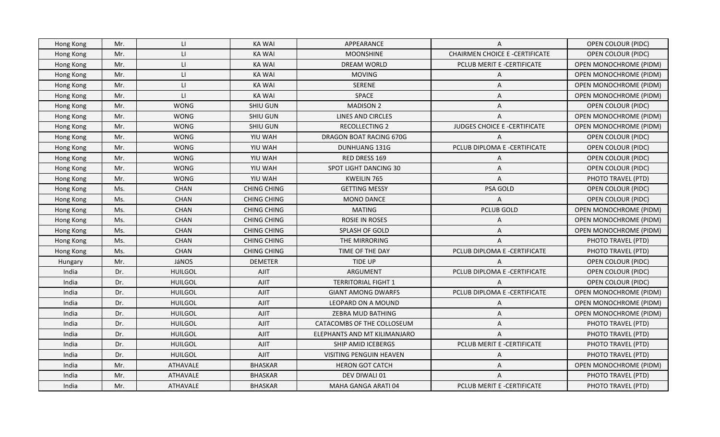| Hong Kong | Mr. | LI.                           | KA WAI             | APPEARANCE                     | A                                     | <b>OPEN COLOUR (PIDC)</b>     |
|-----------|-----|-------------------------------|--------------------|--------------------------------|---------------------------------------|-------------------------------|
| Hong Kong | Mr. | $\mathsf{L}$                  | <b>KA WAI</b>      | <b>MOONSHINE</b>               | <b>CHAIRMEN CHOICE E -CERTIFICATE</b> | <b>OPEN COLOUR (PIDC)</b>     |
| Hong Kong | Mr. | $\lfloor \frac{1}{2} \rfloor$ | <b>KA WAI</b>      | DREAM WORLD                    | PCLUB MERIT E -CERTIFICATE            | OPEN MONOCHROME (PIDM)        |
| Hong Kong | Mr. | $\lfloor \frac{1}{2} \rfloor$ | <b>KA WAI</b>      | <b>MOVING</b>                  | A                                     | <b>OPEN MONOCHROME (PIDM)</b> |
| Hong Kong | Mr. | LI                            | <b>KA WAI</b>      | <b>SERENE</b>                  | A                                     | OPEN MONOCHROME (PIDM)        |
| Hong Kong | Mr. | LI.                           | <b>KA WAI</b>      | <b>SPACE</b>                   | A                                     | <b>OPEN MONOCHROME (PIDM)</b> |
| Hong Kong | Mr. | <b>WONG</b>                   | <b>SHIU GUN</b>    | <b>MADISON 2</b>               | A                                     | <b>OPEN COLOUR (PIDC)</b>     |
| Hong Kong | Mr. | <b>WONG</b>                   | <b>SHIU GUN</b>    | <b>LINES AND CIRCLES</b>       | A                                     | OPEN MONOCHROME (PIDM)        |
| Hong Kong | Mr. | <b>WONG</b>                   | <b>SHIU GUN</b>    | <b>RECOLLECTING 2</b>          | JUDGES CHOICE E -CERTIFICATE          | OPEN MONOCHROME (PIDM)        |
| Hong Kong | Mr. | <b>WONG</b>                   | YIU WAH            | DRAGON BOAT RACING 670G        | A                                     | OPEN COLOUR (PIDC)            |
| Hong Kong | Mr. | <b>WONG</b>                   | YIU WAH            | DUNHUANG 131G                  | PCLUB DIPLOMA E -CERTIFICATE          | OPEN COLOUR (PIDC)            |
| Hong Kong | Mr. | <b>WONG</b>                   | YIU WAH            | RED DRESS 169                  | A                                     | <b>OPEN COLOUR (PIDC)</b>     |
| Hong Kong | Mr. | <b>WONG</b>                   | YIU WAH            | SPOT LIGHT DANCING 30          | Α                                     | <b>OPEN COLOUR (PIDC)</b>     |
| Hong Kong | Mr. | <b>WONG</b>                   | YIU WAH            | KWEILIN 765                    | A                                     | PHOTO TRAVEL (PTD)            |
| Hong Kong | Ms. | <b>CHAN</b>                   | <b>CHING CHING</b> | <b>GETTING MESSY</b>           | PSA GOLD                              | <b>OPEN COLOUR (PIDC)</b>     |
| Hong Kong | Ms. | <b>CHAN</b>                   | <b>CHING CHING</b> | <b>MONO DANCE</b>              | A                                     | OPEN COLOUR (PIDC)            |
| Hong Kong | Ms. | <b>CHAN</b>                   | <b>CHING CHING</b> | <b>MATING</b>                  | <b>PCLUB GOLD</b>                     | <b>OPEN MONOCHROME (PIDM)</b> |
| Hong Kong | Ms. | <b>CHAN</b>                   | <b>CHING CHING</b> | ROSIE IN ROSES                 | A                                     | OPEN MONOCHROME (PIDM)        |
| Hong Kong | Ms. | <b>CHAN</b>                   | CHING CHING        | <b>SPLASH OF GOLD</b>          | A                                     | <b>OPEN MONOCHROME (PIDM)</b> |
| Hong Kong | Ms. | <b>CHAN</b>                   | <b>CHING CHING</b> | THE MIRRORING                  | A                                     | PHOTO TRAVEL (PTD)            |
| Hong Kong | Ms. | <b>CHAN</b>                   | <b>CHING CHING</b> | TIME OF THE DAY                | PCLUB DIPLOMA E -CERTIFICATE          | PHOTO TRAVEL (PTD)            |
| Hungary   | Mr. | JáNOS                         | <b>DEMETER</b>     | <b>TIDE UP</b>                 | A                                     | <b>OPEN COLOUR (PIDC)</b>     |
| India     | Dr. | <b>HUILGOL</b>                | <b>AJIT</b>        | ARGUMENT                       | PCLUB DIPLOMA E -CERTIFICATE          | OPEN COLOUR (PIDC)            |
| India     | Dr. | <b>HUILGOL</b>                | AJIT               | <b>TERRITORIAL FIGHT 1</b>     | $\overline{A}$                        | OPEN COLOUR (PIDC)            |
| India     | Dr. | <b>HUILGOL</b>                | <b>AJIT</b>        | <b>GIANT AMONG DWARFS</b>      | PCLUB DIPLOMA E -CERTIFICATE          | OPEN MONOCHROME (PIDM)        |
| India     | Dr. | <b>HUILGOL</b>                | <b>AJIT</b>        | LEOPARD ON A MOUND             | A                                     | OPEN MONOCHROME (PIDM)        |
| India     | Dr. | <b>HUILGOL</b>                | AJIT               | ZEBRA MUD BATHING              | A                                     | OPEN MONOCHROME (PIDM)        |
| India     | Dr. | <b>HUILGOL</b>                | <b>AJIT</b>        | CATACOMBS OF THE COLLOSEUM     | Α                                     | PHOTO TRAVEL (PTD)            |
| India     | Dr. | <b>HUILGOL</b>                | AJIT               | ELEPHANTS AND MT KILIMANJARO   | A                                     | PHOTO TRAVEL (PTD)            |
| India     | Dr. | <b>HUILGOL</b>                | <b>AJIT</b>        | SHIP AMID ICEBERGS             | PCLUB MERIT E -CERTIFICATE            | PHOTO TRAVEL (PTD)            |
| India     | Dr. | <b>HUILGOL</b>                | AJIT               | <b>VISITING PENGUIN HEAVEN</b> | A                                     | PHOTO TRAVEL (PTD)            |
| India     | Mr. | ATHAVALE                      | <b>BHASKAR</b>     | <b>HERON GOT CATCH</b>         | A                                     | OPEN MONOCHROME (PIDM)        |
| India     | Mr. | ATHAVALE                      | <b>BHASKAR</b>     | DEV DIWALI 01                  | Α                                     | PHOTO TRAVEL (PTD)            |
| India     | Mr. | ATHAVALE                      | <b>BHASKAR</b>     | MAHA GANGA ARATI 04            | PCLUB MERIT E -CERTIFICATE            | PHOTO TRAVEL (PTD)            |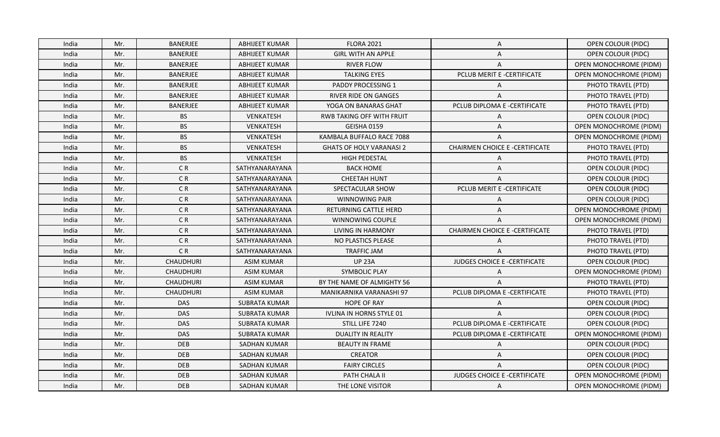| India | Mr. | <b>BANERJEE</b>  | ABHIJEET KUMAR        | <b>FLORA 2021</b>                | A                                     | <b>OPEN COLOUR (PIDC)</b>     |
|-------|-----|------------------|-----------------------|----------------------------------|---------------------------------------|-------------------------------|
| India | Mr. | BANERJEE         | <b>ABHIJEET KUMAR</b> | <b>GIRL WITH AN APPLE</b>        | Α                                     | <b>OPEN COLOUR (PIDC)</b>     |
| India | Mr. | BANERJEE         | <b>ABHIJEET KUMAR</b> | <b>RIVER FLOW</b>                | Α                                     | OPEN MONOCHROME (PIDM)        |
| India | Mr. | BANERJEE         | <b>ABHIJEET KUMAR</b> | <b>TALKING EYES</b>              | PCLUB MERIT E -CERTIFICATE            | <b>OPEN MONOCHROME (PIDM)</b> |
| India | Mr. | BANERJEE         | <b>ABHIJEET KUMAR</b> | PADDY PROCESSING 1               | A                                     | PHOTO TRAVEL (PTD)            |
| India | Mr. | BANERJEE         | <b>ABHIJEET KUMAR</b> | <b>RIVER RIDE ON GANGES</b>      | A                                     | PHOTO TRAVEL (PTD)            |
| India | Mr. | BANERJEE         | ABHIJEET KUMAR        | YOGA ON BANARAS GHAT             | PCLUB DIPLOMA E -CERTIFICATE          | PHOTO TRAVEL (PTD)            |
| India | Mr. | <b>BS</b>        | VENKATESH             | <b>RWB TAKING OFF WITH FRUIT</b> | Α                                     | <b>OPEN COLOUR (PIDC)</b>     |
| India | Mr. | <b>BS</b>        | <b>VENKATESH</b>      | GEISHA 0159                      | A                                     | <b>OPEN MONOCHROME (PIDM)</b> |
| India | Mr. | <b>BS</b>        | VENKATESH             | KAMBALA BUFFALO RACE 7088        | A                                     | <b>OPEN MONOCHROME (PIDM)</b> |
| India | Mr. | <b>BS</b>        | VENKATESH             | <b>GHATS OF HOLY VARANASI 2</b>  | <b>CHAIRMEN CHOICE E -CERTIFICATE</b> | PHOTO TRAVEL (PTD)            |
| India | Mr. | <b>BS</b>        | VENKATESH             | HIGH PEDESTAL                    | A                                     | PHOTO TRAVEL (PTD)            |
| India | Mr. | C <sub>R</sub>   | SATHYANARAYANA        | <b>BACK HOME</b>                 | A                                     | <b>OPEN COLOUR (PIDC)</b>     |
| India | Mr. | C <sub>R</sub>   | SATHYANARAYANA        | <b>CHEETAH HUNT</b>              | A                                     | OPEN COLOUR (PIDC)            |
| India | Mr. | C <sub>R</sub>   | SATHYANARAYANA        | SPECTACULAR SHOW                 | PCLUB MERIT E -CERTIFICATE            | <b>OPEN COLOUR (PIDC)</b>     |
| India | Mr. | CR               | SATHYANARAYANA        | <b>WINNOWING PAIR</b>            | A                                     | OPEN COLOUR (PIDC)            |
| India | Mr. | C <sub>R</sub>   | SATHYANARAYANA        | <b>RETURNING CATTLE HERD</b>     | Α                                     | <b>OPEN MONOCHROME (PIDM)</b> |
| India | Mr. | CR               | SATHYANARAYANA        | WINNOWING COUPLE                 | A                                     | OPEN MONOCHROME (PIDM)        |
| India | Mr. | C <sub>R</sub>   | SATHYANARAYANA        | LIVING IN HARMONY                | <b>CHAIRMEN CHOICE E -CERTIFICATE</b> | PHOTO TRAVEL (PTD)            |
| India | Mr. | CR               | SATHYANARAYANA        | NO PLASTICS PLEASE               | A                                     | PHOTO TRAVEL (PTD)            |
| India | Mr. | CR               | SATHYANARAYANA        | <b>TRAFFIC JAM</b>               | A                                     | PHOTO TRAVEL (PTD)            |
| India | Mr. | CHAUDHURI        | <b>ASIM KUMAR</b>     | <b>UP 23A</b>                    | JUDGES CHOICE E -CERTIFICATE          | <b>OPEN COLOUR (PIDC)</b>     |
| India | Mr. | CHAUDHURI        | <b>ASIM KUMAR</b>     | <b>SYMBOLIC PLAY</b>             | Α                                     | OPEN MONOCHROME (PIDM)        |
| India | Mr. | <b>CHAUDHURI</b> | <b>ASIM KUMAR</b>     | BY THE NAME OF ALMIGHTY 56       | A                                     | PHOTO TRAVEL (PTD)            |
| India | Mr. | <b>CHAUDHURI</b> | <b>ASIM KUMAR</b>     | MANIKARNIKA VARANASHI 97         | PCLUB DIPLOMA E -CERTIFICATE          | PHOTO TRAVEL (PTD)            |
| India | Mr. | <b>DAS</b>       | <b>SUBRATA KUMAR</b>  | <b>HOPE OF RAY</b>               | A                                     | OPEN COLOUR (PIDC)            |
| India | Mr. | <b>DAS</b>       | <b>SUBRATA KUMAR</b>  | IVLINA IN HORNS STYLE 01         | A                                     | <b>OPEN COLOUR (PIDC)</b>     |
| India | Mr. | DAS              | <b>SUBRATA KUMAR</b>  | STILL LIFE 7240                  | PCLUB DIPLOMA E -CERTIFICATE          | <b>OPEN COLOUR (PIDC)</b>     |
| India | Mr. | <b>DAS</b>       | <b>SUBRATA KUMAR</b>  | <b>DUALITY IN REALITY</b>        | PCLUB DIPLOMA E -CERTIFICATE          | OPEN MONOCHROME (PIDM)        |
| India | Mr. | DEB              | SADHAN KUMAR          | <b>BEAUTY IN FRAME</b>           | A                                     | <b>OPEN COLOUR (PIDC)</b>     |
| India | Mr. | <b>DEB</b>       | <b>SADHAN KUMAR</b>   | <b>CREATOR</b>                   | A                                     | OPEN COLOUR (PIDC)            |
| India | Mr. | DEB              | <b>SADHAN KUMAR</b>   | <b>FAIRY CIRCLES</b>             | A                                     | <b>OPEN COLOUR (PIDC)</b>     |
| India | Mr. | <b>DEB</b>       | <b>SADHAN KUMAR</b>   | PATH CHALA II                    | JUDGES CHOICE E -CERTIFICATE          | <b>OPEN MONOCHROME (PIDM)</b> |
| India | Mr. | <b>DEB</b>       | <b>SADHAN KUMAR</b>   | THE LONE VISITOR                 | A                                     | <b>OPEN MONOCHROME (PIDM)</b> |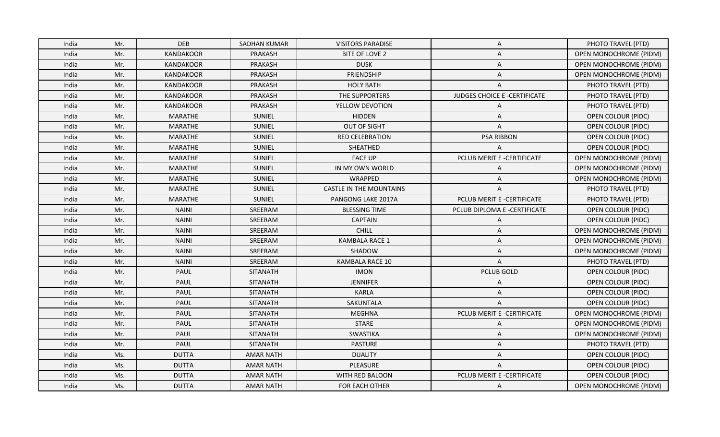| India | Mr. | <b>DEB</b>       | SADHAN KUMAR     | <b>VISITORS PARADISE</b>       | A                            | PHOTO TRAVEL (PTD)            |
|-------|-----|------------------|------------------|--------------------------------|------------------------------|-------------------------------|
| India | Mr. | <b>KANDAKOOR</b> | <b>PRAKASH</b>   | BITE OF LOVE 2                 | A                            | OPEN MONOCHROME (PIDM)        |
| India | Mr. | <b>KANDAKOOR</b> | PRAKASH          | <b>DUSK</b>                    | A                            | OPEN MONOCHROME (PIDM)        |
| India | Mr. | <b>KANDAKOOR</b> | PRAKASH          | <b>FRIENDSHIP</b>              | A                            | <b>OPEN MONOCHROME (PIDM)</b> |
| India | Mr. | KANDAKOOR        | PRAKASH          | <b>HOLY BATH</b>               | A                            | PHOTO TRAVEL (PTD)            |
| India | Mr. | KANDAKOOR        | PRAKASH          | THE SUPPORTERS                 | JUDGES CHOICE E -CERTIFICATE | PHOTO TRAVEL (PTD)            |
| India | Mr. | <b>KANDAKOOR</b> | PRAKASH          | YELLOW DEVOTION                | A                            | PHOTO TRAVEL (PTD)            |
| India | Mr. | <b>MARATHE</b>   | SUNIEL           | <b>HIDDEN</b>                  | Α                            | <b>OPEN COLOUR (PIDC)</b>     |
| India | Mr. | <b>MARATHE</b>   | <b>SUNIEL</b>    | OUT OF SIGHT                   | A                            | OPEN COLOUR (PIDC)            |
| India | Mr. | <b>MARATHE</b>   | SUNIEL           | <b>RED CELEBRATION</b>         | <b>PSA RIBBON</b>            | <b>OPEN COLOUR (PIDC)</b>     |
| India | Mr. | MARATHE          | SUNIEL           | SHEATHED                       | A                            | OPEN COLOUR (PIDC)            |
| India | Mr. | <b>MARATHE</b>   | SUNIEL           | <b>FACE UP</b>                 | PCLUB MERIT E -CERTIFICATE   | <b>OPEN MONOCHROME (PIDM)</b> |
| India | Mr. | <b>MARATHE</b>   | SUNIEL           | IN MY OWN WORLD                | A                            | OPEN MONOCHROME (PIDM)        |
| India | Mr. | <b>MARATHE</b>   | SUNIEL           | WRAPPED                        | A                            | OPEN MONOCHROME (PIDM)        |
| India | Mr. | <b>MARATHE</b>   | SUNIEL           | <b>CASTLE IN THE MOUNTAINS</b> | A                            | PHOTO TRAVEL (PTD)            |
| India | Mr. | <b>MARATHE</b>   | SUNIEL           | PANGONG LAKE 2017A             | PCLUB MERIT E -CERTIFICATE   | PHOTO TRAVEL (PTD)            |
| India | Mr. | <b>NAINI</b>     | SREERAM          | <b>BLESSING TIME</b>           | PCLUB DIPLOMA E -CERTIFICATE | <b>OPEN COLOUR (PIDC)</b>     |
| India | Mr. | <b>NAINI</b>     | SREERAM          | <b>CAPTAIN</b>                 | A                            | <b>OPEN COLOUR (PIDC)</b>     |
| India | Mr. | <b>NAINI</b>     | SREERAM          | <b>CHILL</b>                   | A                            | <b>OPEN MONOCHROME (PIDM)</b> |
| India | Mr. | <b>NAINI</b>     | SREERAM          | <b>KAMBALA RACE 1</b>          | A                            | <b>OPEN MONOCHROME (PIDM)</b> |
| India | Mr. | <b>NAINI</b>     | SREERAM          | SHADOW                         | A                            | OPEN MONOCHROME (PIDM)        |
| India | Mr. | <b>NAINI</b>     | SREERAM          | KAMBALA RACE 10                | A                            | PHOTO TRAVEL (PTD)            |
| India | Mr. | PAUL             | <b>SITANATH</b>  | <b>IMON</b>                    | <b>PCLUB GOLD</b>            | <b>OPEN COLOUR (PIDC)</b>     |
| India | Mr. | <b>PAUL</b>      | <b>SITANATH</b>  | <b>JENNIFER</b>                | A                            | OPEN COLOUR (PIDC)            |
| India | Mr. | PAUL             | <b>SITANATH</b>  | <b>KARLA</b>                   | A                            | OPEN COLOUR (PIDC)            |
| India | Mr. | PAUL             | <b>SITANATH</b>  | SAKUNTALA                      | A                            | OPEN COLOUR (PIDC)            |
| India | Mr. | PAUL             | <b>SITANATH</b>  | MEGHNA                         | PCLUB MERIT E -CERTIFICATE   | <b>OPEN MONOCHROME (PIDM)</b> |
| India | Mr. | PAUL             | <b>SITANATH</b>  | <b>STARE</b>                   | A                            | OPEN MONOCHROME (PIDM)        |
| India | Mr. | <b>PAUL</b>      | <b>SITANATH</b>  | <b>SWASTIKA</b>                | A                            | <b>OPEN MONOCHROME (PIDM)</b> |
| India | Mr. | PAUL             | <b>SITANATH</b>  | <b>PASTURE</b>                 | A                            | PHOTO TRAVEL (PTD)            |
| India | Ms. | <b>DUTTA</b>     | <b>AMAR NATH</b> | <b>DUALITY</b>                 | A                            | OPEN COLOUR (PIDC)            |
| India | Ms. | <b>DUTTA</b>     | <b>AMAR NATH</b> | PLEASURE                       | A                            | <b>OPEN COLOUR (PIDC)</b>     |
| India | Ms. | <b>DUTTA</b>     | <b>AMAR NATH</b> | WITH RED BALOON                | PCLUB MERIT E -CERTIFICATE   | <b>OPEN COLOUR (PIDC)</b>     |
| India | Ms. | <b>DUTTA</b>     | AMAR NATH        | <b>FOR EACH OTHER</b>          | A                            | <b>OPEN MONOCHROME (PIDM)</b> |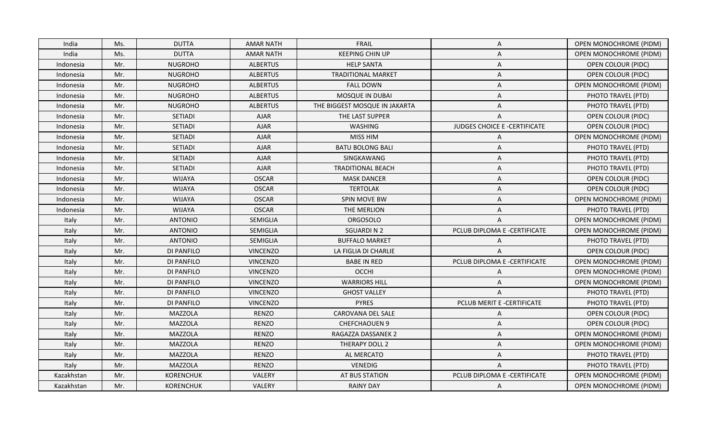| India      | Ms. | <b>DUTTA</b>     | AMAR NATH        | <b>FRAIL</b>                  | $\mathsf{A}$                 | <b>OPEN MONOCHROME (PIDM)</b> |
|------------|-----|------------------|------------------|-------------------------------|------------------------------|-------------------------------|
| India      | Ms. | <b>DUTTA</b>     | <b>AMAR NATH</b> | <b>KEEPING CHIN UP</b>        | Α                            | OPEN MONOCHROME (PIDM)        |
| Indonesia  | Mr. | <b>NUGROHO</b>   | <b>ALBERTUS</b>  | <b>HELP SANTA</b>             | Α                            | <b>OPEN COLOUR (PIDC)</b>     |
| Indonesia  | Mr. | <b>NUGROHO</b>   | <b>ALBERTUS</b>  | <b>TRADITIONAL MARKET</b>     | Α                            | OPEN COLOUR (PIDC)            |
| Indonesia  | Mr. | <b>NUGROHO</b>   | <b>ALBERTUS</b>  | <b>FALL DOWN</b>              | A                            | OPEN MONOCHROME (PIDM)        |
| Indonesia  | Mr. | <b>NUGROHO</b>   | <b>ALBERTUS</b>  | MOSQUE IN DUBAI               | Α                            | PHOTO TRAVEL (PTD)            |
| Indonesia  | Mr. | <b>NUGROHO</b>   | <b>ALBERTUS</b>  | THE BIGGEST MOSQUE IN JAKARTA | Α                            | PHOTO TRAVEL (PTD)            |
| Indonesia  | Mr. | SETIADI          | <b>AJAR</b>      | THE LAST SUPPER               | A                            | <b>OPEN COLOUR (PIDC)</b>     |
| Indonesia  | Mr. | <b>SETIADI</b>   | <b>AJAR</b>      | <b>WASHING</b>                | JUDGES CHOICE E -CERTIFICATE | OPEN COLOUR (PIDC)            |
| Indonesia  | Mr. | SETIADI          | <b>AJAR</b>      | <b>MISS HIM</b>               | Α                            | OPEN MONOCHROME (PIDM)        |
| Indonesia  | Mr. | SETIADI          | <b>AJAR</b>      | <b>BATU BOLONG BALI</b>       | Α                            | PHOTO TRAVEL (PTD)            |
| Indonesia  | Mr. | SETIADI          | <b>AJAR</b>      | SINGKAWANG                    | Α                            | PHOTO TRAVEL (PTD)            |
| Indonesia  | Mr. | SETIADI          | <b>AJAR</b>      | <b>TRADITIONAL BEACH</b>      | Α                            | PHOTO TRAVEL (PTD)            |
| Indonesia  | Mr. | <b>WIJAYA</b>    | <b>OSCAR</b>     | <b>MASK DANCER</b>            | Α                            | OPEN COLOUR (PIDC)            |
| Indonesia  | Mr. | <b>WIJAYA</b>    | <b>OSCAR</b>     | <b>TERTOLAK</b>               | Α                            | <b>OPEN COLOUR (PIDC)</b>     |
| Indonesia  | Mr. | <b>WIJAYA</b>    | <b>OSCAR</b>     | SPIN MOVE BW                  | A                            | OPEN MONOCHROME (PIDM)        |
| Indonesia  | Mr. | <b>WIJAYA</b>    | <b>OSCAR</b>     | THE MERLION                   | Α                            | PHOTO TRAVEL (PTD)            |
| Italy      | Mr. | <b>ANTONIO</b>   | SEMIGLIA         | <b>ORGOSOLO</b>               | A                            | OPEN MONOCHROME (PIDM)        |
| Italy      | Mr. | <b>ANTONIO</b>   | SEMIGLIA         | <b>SGUARDIN2</b>              | PCLUB DIPLOMA E -CERTIFICATE | <b>OPEN MONOCHROME (PIDM)</b> |
| Italy      | Mr. | <b>ANTONIO</b>   | <b>SEMIGLIA</b>  | <b>BUFFALO MARKET</b>         | Α                            | PHOTO TRAVEL (PTD)            |
| Italy      | Mr. | DI PANFILO       | <b>VINCENZO</b>  | LA FIGLIA DI CHARLIE          | A                            | OPEN COLOUR (PIDC)            |
| Italy      | Mr. | DI PANFILO       | <b>VINCENZO</b>  | <b>BABE IN RED</b>            | PCLUB DIPLOMA E -CERTIFICATE | <b>OPEN MONOCHROME (PIDM)</b> |
| Italy      | Mr. | DI PANFILO       | <b>VINCENZO</b>  | OCCHI                         | Α                            | OPEN MONOCHROME (PIDM)        |
| Italy      | Mr. | DI PANFILO       | <b>VINCENZO</b>  | <b>WARRIORS HILL</b>          | A                            | <b>OPEN MONOCHROME (PIDM)</b> |
| Italy      | Mr. | DI PANFILO       | <b>VINCENZO</b>  | <b>GHOST VALLEY</b>           | A                            | PHOTO TRAVEL (PTD)            |
| Italy      | Mr. | DI PANFILO       | <b>VINCENZO</b>  | <b>PYRES</b>                  | PCLUB MERIT E -CERTIFICATE   | PHOTO TRAVEL (PTD)            |
| Italy      | Mr. | <b>MAZZOLA</b>   | <b>RENZO</b>     | CAROVANA DEL SALE             | Α                            | <b>OPEN COLOUR (PIDC)</b>     |
| Italy      | Mr. | <b>MAZZOLA</b>   | <b>RENZO</b>     | CHEFCHAOUEN 9                 | Α                            | OPEN COLOUR (PIDC)            |
| Italy      | Mr. | <b>MAZZOLA</b>   | <b>RENZO</b>     | RAGAZZA DASSANEK 2            | Α                            | <b>OPEN MONOCHROME (PIDM)</b> |
| Italy      | Mr. | <b>MAZZOLA</b>   | <b>RENZO</b>     | THERAPY DOLL 2                | Α                            | <b>OPEN MONOCHROME (PIDM)</b> |
| Italy      | Mr. | <b>MAZZOLA</b>   | <b>RENZO</b>     | AL MERCATO                    | Α                            | PHOTO TRAVEL (PTD)            |
| Italy      | Mr. | <b>MAZZOLA</b>   | <b>RENZO</b>     | VENEDIG                       | A                            | PHOTO TRAVEL (PTD)            |
| Kazakhstan | Mr. | <b>KORENCHUK</b> | VALERY           | AT BUS STATION                | PCLUB DIPLOMA E -CERTIFICATE | <b>OPEN MONOCHROME (PIDM)</b> |
| Kazakhstan | Mr. | <b>KORENCHUK</b> | VALERY           | <b>RAINY DAY</b>              | A                            | <b>OPEN MONOCHROME (PIDM)</b> |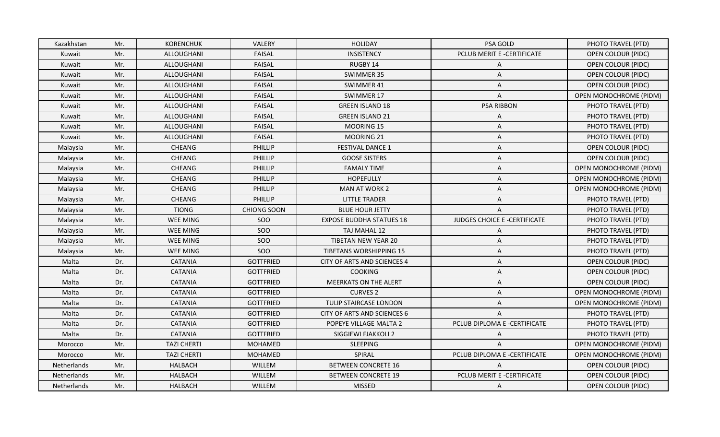| <b>KORENCHUK</b><br>Kazakhstan<br>Mr. | <b>VALERY</b><br><b>HOLIDAY</b>                  | PSA GOLD                            | PHOTO TRAVEL (PTD)            |
|---------------------------------------|--------------------------------------------------|-------------------------------------|-------------------------------|
| Mr.<br>ALLOUGHANI<br>Kuwait           | <b>INSISTENCY</b><br><b>FAISAL</b>               | PCLUB MERIT E -CERTIFICATE          | <b>OPEN COLOUR (PIDC)</b>     |
| Mr.<br>ALLOUGHANI<br>Kuwait           | <b>FAISAL</b><br>RUGBY 14                        | Α                                   | <b>OPEN COLOUR (PIDC)</b>     |
| ALLOUGHANI<br>Kuwait<br>Mr.           | <b>FAISAL</b><br>SWIMMER 35                      | Α                                   | OPEN COLOUR (PIDC)            |
| Mr.<br>ALLOUGHANI<br>Kuwait           | <b>FAISAL</b><br>SWIMMER 41                      | Α                                   | <b>OPEN COLOUR (PIDC)</b>     |
| Mr.<br>ALLOUGHANI<br>Kuwait           | <b>FAISAL</b><br>SWIMMER 17                      | A                                   | <b>OPEN MONOCHROME (PIDM)</b> |
| ALLOUGHANI<br>Kuwait<br>Mr.           | <b>FAISAL</b><br><b>GREEN ISLAND 18</b>          | <b>PSA RIBBON</b>                   | PHOTO TRAVEL (PTD)            |
| Mr.<br>ALLOUGHANI<br>Kuwait           | <b>FAISAL</b><br><b>GREEN ISLAND 21</b>          | A                                   | PHOTO TRAVEL (PTD)            |
| ALLOUGHANI<br>Kuwait<br>Mr.           | <b>FAISAL</b><br><b>MOORING 15</b>               | A                                   | PHOTO TRAVEL (PTD)            |
| Mr.<br>ALLOUGHANI<br>Kuwait           | <b>FAISAL</b><br>MOORING 21                      | A                                   | PHOTO TRAVEL (PTD)            |
| Mr.<br>CHEANG<br>Malaysia             | <b>FESTIVAL DANCE 1</b><br><b>PHILLIP</b>        | A                                   | OPEN COLOUR (PIDC)            |
| CHEANG<br>Malaysia<br>Mr.             | PHILLIP<br><b>GOOSE SISTERS</b>                  | A                                   | OPEN COLOUR (PIDC)            |
| CHEANG<br>Mr.<br>Malaysia             | <b>PHILLIP</b><br><b>FAMALY TIME</b>             | A                                   | <b>OPEN MONOCHROME (PIDM)</b> |
| Mr.<br><b>CHEANG</b><br>Malaysia      | <b>HOPEFULLY</b><br><b>PHILLIP</b>               | A                                   | <b>OPEN MONOCHROME (PIDM)</b> |
| Mr.<br>CHEANG<br>Malaysia             | <b>PHILLIP</b><br>MAN AT WORK 2                  | A                                   | <b>OPEN MONOCHROME (PIDM)</b> |
| Mr.<br>CHEANG<br>Malaysia             | PHILLIP<br><b>LITTLE TRADER</b>                  | A                                   | PHOTO TRAVEL (PTD)            |
| Mr.<br><b>TIONG</b><br>Malaysia       | <b>CHIONG SOON</b><br><b>BLUE HOUR JETTY</b>     | A                                   | PHOTO TRAVEL (PTD)            |
| <b>WEE MING</b><br>Mr.<br>Malaysia    | <b>SOO</b><br><b>EXPOSE BUDDHA STATUES 18</b>    | <b>JUDGES CHOICE E -CERTIFICATE</b> | PHOTO TRAVEL (PTD)            |
| Mr.<br><b>WEE MING</b><br>Malaysia    | SOO<br>TAJ MAHAL 12                              | Α                                   | PHOTO TRAVEL (PTD)            |
| Mr.<br><b>WEE MING</b><br>Malaysia    | <b>SOO</b><br>TIBETAN NEW YEAR 20                | A                                   | PHOTO TRAVEL (PTD)            |
| Mr.<br><b>WEE MING</b><br>Malaysia    | SOO<br><b>TIBETANS WORSHIPPING 15</b>            | A                                   | PHOTO TRAVEL (PTD)            |
| Malta<br>Dr.<br><b>CATANIA</b>        | <b>GOTTFRIED</b><br>CITY OF ARTS AND SCIENCES 4  | A                                   | <b>OPEN COLOUR (PIDC)</b>     |
| Malta<br>Dr.<br><b>CATANIA</b>        | <b>GOTTFRIED</b><br><b>COOKING</b>               | A                                   | <b>OPEN COLOUR (PIDC)</b>     |
| Malta<br>Dr.<br><b>CATANIA</b>        | <b>GOTTFRIED</b><br><b>MEERKATS ON THE ALERT</b> | A                                   | OPEN COLOUR (PIDC)            |
| Dr.<br><b>CATANIA</b><br>Malta        | <b>GOTTFRIED</b><br><b>CURVES 2</b>              | A                                   | OPEN MONOCHROME (PIDM)        |
| Malta<br>Dr.<br><b>CATANIA</b>        | <b>GOTTFRIED</b><br>TULIP STAIRCASE LONDON       | Α                                   | OPEN MONOCHROME (PIDM)        |
| Malta<br>Dr.<br><b>CATANIA</b>        | <b>GOTTFRIED</b><br>CITY OF ARTS AND SCIENCES 6  | A                                   | PHOTO TRAVEL (PTD)            |
| Malta<br>Dr.<br><b>CATANIA</b>        | <b>GOTTFRIED</b><br>POPEYE VILLAGE MALTA 2       | PCLUB DIPLOMA E -CERTIFICATE        | PHOTO TRAVEL (PTD)            |
| Dr.<br><b>CATANIA</b><br>Malta        | <b>GOTTFRIED</b><br>SIGGIEWI FJAKKOLI 2          | A                                   | PHOTO TRAVEL (PTD)            |
| Mr.<br><b>TAZI CHERTI</b><br>Morocco  | MOHAMED<br>SLEEPING                              | A                                   | OPEN MONOCHROME (PIDM)        |
| Mr.<br><b>TAZI CHERTI</b><br>Morocco  | <b>MOHAMED</b><br>SPIRAL                         | PCLUB DIPLOMA E -CERTIFICATE        | OPEN MONOCHROME (PIDM)        |
| Netherlands<br>HALBACH<br>Mr.         | WILLEM<br><b>BETWEEN CONCRETE 16</b>             | A                                   | <b>OPEN COLOUR (PIDC)</b>     |
| <b>HALBACH</b><br>Netherlands<br>Mr.  | WILLEM<br><b>BETWEEN CONCRETE 19</b>             | PCLUB MERIT E -CERTIFICATE          | <b>OPEN COLOUR (PIDC)</b>     |
| Mr.<br>HALBACH<br><b>Netherlands</b>  | WILLEM<br><b>MISSED</b>                          | A                                   | <b>OPEN COLOUR (PIDC)</b>     |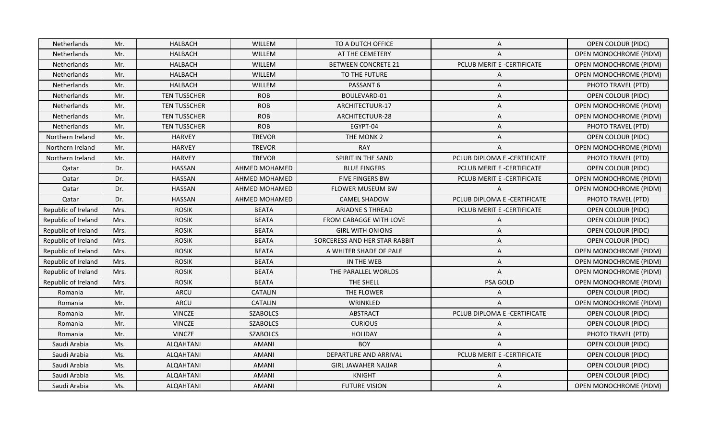| Netherlands         | Mr.  | <b>HALBACH</b>      | <b>WILLEM</b>        | TO A DUTCH OFFICE             | A                            | OPEN COLOUR (PIDC)            |
|---------------------|------|---------------------|----------------------|-------------------------------|------------------------------|-------------------------------|
| Netherlands         | Mr.  | <b>HALBACH</b>      | WILLEM               | AT THE CEMETERY               | A                            | OPEN MONOCHROME (PIDM)        |
| Netherlands         | Mr.  | <b>HALBACH</b>      | WILLEM               | <b>BETWEEN CONCRETE 21</b>    | PCLUB MERIT E -CERTIFICATE   | OPEN MONOCHROME (PIDM)        |
| <b>Netherlands</b>  | Mr.  | <b>HALBACH</b>      | WILLEM               | TO THE FUTURE                 | A                            | <b>OPEN MONOCHROME (PIDM)</b> |
| Netherlands         | Mr.  | <b>HALBACH</b>      | WILLEM               | PASSANT 6                     | A                            | PHOTO TRAVEL (PTD)            |
| Netherlands         | Mr.  | <b>TEN TUSSCHER</b> | <b>ROB</b>           | BOULEVARD-01                  | A                            | OPEN COLOUR (PIDC)            |
| Netherlands         | Mr.  | <b>TEN TUSSCHER</b> | <b>ROB</b>           | ARCHITECTUUR-17               | A                            | <b>OPEN MONOCHROME (PIDM)</b> |
| Netherlands         | Mr.  | <b>TEN TUSSCHER</b> | <b>ROB</b>           | ARCHITECTUUR-28               | Α                            | OPEN MONOCHROME (PIDM)        |
| <b>Netherlands</b>  | Mr.  | <b>TEN TUSSCHER</b> | <b>ROB</b>           | EGYPT-04                      | Α                            | PHOTO TRAVEL (PTD)            |
| Northern Ireland    | Mr.  | <b>HARVEY</b>       | <b>TREVOR</b>        | THE MONK 2                    | A                            | OPEN COLOUR (PIDC)            |
| Northern Ireland    | Mr.  | <b>HARVEY</b>       | <b>TREVOR</b>        | <b>RAY</b>                    | Α                            | OPEN MONOCHROME (PIDM)        |
| Northern Ireland    | Mr.  | <b>HARVEY</b>       | <b>TREVOR</b>        | SPIRIT IN THE SAND            | PCLUB DIPLOMA E -CERTIFICATE | PHOTO TRAVEL (PTD)            |
| Qatar               | Dr.  | <b>HASSAN</b>       | <b>AHMED MOHAMED</b> | <b>BLUE FINGERS</b>           | PCLUB MERIT E -CERTIFICATE   | <b>OPEN COLOUR (PIDC)</b>     |
| Qatar               | Dr.  | <b>HASSAN</b>       | AHMED MOHAMED        | <b>FIVE FINGERS BW</b>        | PCLUB MERIT E -CERTIFICATE   | <b>OPEN MONOCHROME (PIDM)</b> |
| Qatar               | Dr.  | <b>HASSAN</b>       | AHMED MOHAMED        | <b>FLOWER MUSEUM BW</b>       | A                            | OPEN MONOCHROME (PIDM)        |
| Qatar               | Dr.  | <b>HASSAN</b>       | AHMED MOHAMED        | <b>CAMEL SHADOW</b>           | PCLUB DIPLOMA E -CERTIFICATE | PHOTO TRAVEL (PTD)            |
| Republic of Ireland | Mrs. | <b>ROSIK</b>        | <b>BEATA</b>         | <b>ARIADNE S THREAD</b>       | PCLUB MERIT E -CERTIFICATE   | OPEN COLOUR (PIDC)            |
| Republic of Ireland | Mrs. | <b>ROSIK</b>        | <b>BEATA</b>         | FROM CABAGGE WITH LOVE        | A                            | <b>OPEN COLOUR (PIDC)</b>     |
| Republic of Ireland | Mrs. | <b>ROSIK</b>        | <b>BEATA</b>         | <b>GIRL WITH ONIONS</b>       | A                            | OPEN COLOUR (PIDC)            |
| Republic of Ireland | Mrs. | <b>ROSIK</b>        | <b>BEATA</b>         | SORCERESS AND HER STAR RABBIT | A                            | OPEN COLOUR (PIDC)            |
| Republic of Ireland | Mrs. | <b>ROSIK</b>        | <b>BEATA</b>         | A WHITER SHADE OF PALE        | A                            | <b>OPEN MONOCHROME (PIDM)</b> |
| Republic of Ireland | Mrs. | <b>ROSIK</b>        | <b>BEATA</b>         | IN THE WEB                    | A                            | <b>OPEN MONOCHROME (PIDM)</b> |
| Republic of Ireland | Mrs. | <b>ROSIK</b>        | <b>BEATA</b>         | THE PARALLEL WORLDS           | A                            | <b>OPEN MONOCHROME (PIDM)</b> |
| Republic of Ireland | Mrs. | <b>ROSIK</b>        | <b>BEATA</b>         | THE SHELL                     | PSA GOLD                     | <b>OPEN MONOCHROME (PIDM)</b> |
| Romania             | Mr.  | <b>ARCU</b>         | CATALIN              | THE FLOWER                    | A                            | <b>OPEN COLOUR (PIDC)</b>     |
| Romania             | Mr.  | ARCU                | <b>CATALIN</b>       | WRINKLED                      | A                            | <b>OPEN MONOCHROME (PIDM)</b> |
| Romania             | Mr.  | <b>VINCZE</b>       | <b>SZABOLCS</b>      | <b>ABSTRACT</b>               | PCLUB DIPLOMA E -CERTIFICATE | OPEN COLOUR (PIDC)            |
| Romania             | Mr.  | <b>VINCZE</b>       | <b>SZABOLCS</b>      | <b>CURIOUS</b>                | A                            | <b>OPEN COLOUR (PIDC)</b>     |
| Romania             | Mr.  | <b>VINCZE</b>       | <b>SZABOLCS</b>      | <b>HOLIDAY</b>                | A                            | PHOTO TRAVEL (PTD)            |
| Saudi Arabia        | Ms.  | ALQAHTANI           | <b>AMANI</b>         | <b>BOY</b>                    | A                            | <b>OPEN COLOUR (PIDC)</b>     |
| Saudi Arabia        | Ms.  | ALQAHTANI           | <b>AMANI</b>         | DEPARTURE AND ARRIVAL         | PCLUB MERIT E -CERTIFICATE   | <b>OPEN COLOUR (PIDC)</b>     |
| Saudi Arabia        |      |                     | <b>AMANI</b>         | <b>GIRL JAWAHER NAJJAR</b>    | A                            | OPEN COLOUR (PIDC)            |
|                     | Ms.  | ALQAHTANI           |                      |                               |                              |                               |
| Saudi Arabia        | Ms.  | ALQAHTANI           | <b>AMANI</b>         | KNIGHT                        | A                            | <b>OPEN COLOUR (PIDC)</b>     |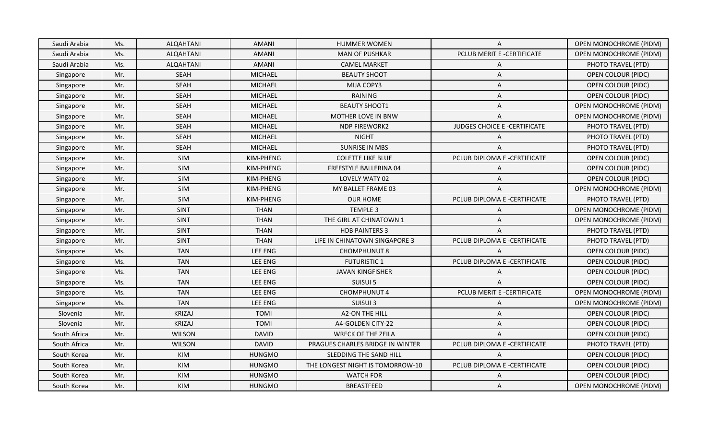| Saudi Arabia | Ms. | ALQAHTANI        | <b>AMANI</b>   | <b>HUMMER WOMEN</b>              | A                            | <b>OPEN MONOCHROME (PIDM)</b> |
|--------------|-----|------------------|----------------|----------------------------------|------------------------------|-------------------------------|
| Saudi Arabia | Ms. | <b>ALQAHTANI</b> | <b>AMANI</b>   | <b>MAN OF PUSHKAR</b>            | PCLUB MERIT E -CERTIFICATE   | <b>OPEN MONOCHROME (PIDM)</b> |
| Saudi Arabia | Ms. | ALQAHTANI        | <b>AMANI</b>   | <b>CAMEL MARKET</b>              | A                            | PHOTO TRAVEL (PTD)            |
| Singapore    | Mr. | <b>SEAH</b>      | <b>MICHAEL</b> | <b>BEAUTY SHOOT</b>              | Α                            | OPEN COLOUR (PIDC)            |
| Singapore    | Mr. | SEAH             | <b>MICHAEL</b> | MIJA COPY3                       | Α                            | <b>OPEN COLOUR (PIDC)</b>     |
| Singapore    | Mr. | <b>SEAH</b>      | <b>MICHAEL</b> | RAINING                          | A                            | OPEN COLOUR (PIDC)            |
| Singapore    | Mr. | SEAH             | <b>MICHAEL</b> | <b>BEAUTY SHOOT1</b>             | Α                            | <b>OPEN MONOCHROME (PIDM)</b> |
| Singapore    | Mr. | SEAH             | <b>MICHAEL</b> | MOTHER LOVE IN BNW               | A                            | OPEN MONOCHROME (PIDM)        |
| Singapore    | Mr. | <b>SEAH</b>      | <b>MICHAEL</b> | <b>NDP FIREWORK2</b>             | JUDGES CHOICE E -CERTIFICATE | PHOTO TRAVEL (PTD)            |
| Singapore    | Mr. | SEAH             | <b>MICHAEL</b> | <b>NIGHT</b>                     | A                            | PHOTO TRAVEL (PTD)            |
| Singapore    | Mr. | <b>SEAH</b>      | MICHAEL        | <b>SUNRISE IN MBS</b>            | A                            | PHOTO TRAVEL (PTD)            |
| Singapore    | Mr. | SIM              | KIM-PHENG      | <b>COLETTE LIKE BLUE</b>         | PCLUB DIPLOMA E -CERTIFICATE | OPEN COLOUR (PIDC)            |
| Singapore    | Mr. | SIM              | KIM-PHENG      | FREESTYLE BALLERINA 04           | Α                            | OPEN COLOUR (PIDC)            |
| Singapore    | Mr. | SIM              | KIM-PHENG      | LOVELY WATY 02                   | Α                            | OPEN COLOUR (PIDC)            |
| Singapore    | Mr. | SIM              | KIM-PHENG      | MY BALLET FRAME 03               | A                            | <b>OPEN MONOCHROME (PIDM)</b> |
| Singapore    | Mr. | SIM              | KIM-PHENG      | <b>OUR HOME</b>                  | PCLUB DIPLOMA E -CERTIFICATE | PHOTO TRAVEL (PTD)            |
| Singapore    | Mr. | <b>SINT</b>      | <b>THAN</b>    | TEMPLE 3                         | Α                            | OPEN MONOCHROME (PIDM)        |
| Singapore    | Mr. | <b>SINT</b>      | <b>THAN</b>    | THE GIRL AT CHINATOWN 1          | A                            | OPEN MONOCHROME (PIDM)        |
| Singapore    | Mr. | <b>SINT</b>      | <b>THAN</b>    | <b>HDB PAINTERS 3</b>            | A                            | PHOTO TRAVEL (PTD)            |
| Singapore    | Mr. | <b>SINT</b>      | <b>THAN</b>    | LIFE IN CHINATOWN SINGAPORE 3    | PCLUB DIPLOMA E -CERTIFICATE | PHOTO TRAVEL (PTD)            |
| Singapore    | Ms. | <b>TAN</b>       | LEE ENG        | <b>CHOMPHUNUT 8</b>              | A                            | <b>OPEN COLOUR (PIDC)</b>     |
| Singapore    | Ms. | <b>TAN</b>       | <b>LEE ENG</b> | <b>FUTURISTIC 1</b>              | PCLUB DIPLOMA E -CERTIFICATE | OPEN COLOUR (PIDC)            |
| Singapore    | Ms. | <b>TAN</b>       | <b>LEE ENG</b> | <b>JAVAN KINGFISHER</b>          | Α                            | <b>OPEN COLOUR (PIDC)</b>     |
| Singapore    | Ms. | <b>TAN</b>       | LEE ENG        | SUISUI 5                         | A                            | <b>OPEN COLOUR (PIDC)</b>     |
| Singapore    | Ms. | <b>TAN</b>       | <b>LEE ENG</b> | CHOMPHUNUT 4                     | PCLUB MERIT E -CERTIFICATE   | OPEN MONOCHROME (PIDM)        |
| Singapore    | Ms. | <b>TAN</b>       | LEE ENG        | SUISUI 3                         | Α                            | OPEN MONOCHROME (PIDM)        |
| Slovenia     | Mr. | <b>KRIZAJ</b>    | <b>TOMI</b>    | <b>A2-ON THE HILL</b>            | Α                            | <b>OPEN COLOUR (PIDC)</b>     |
| Slovenia     | Mr. | <b>KRIZAJ</b>    | <b>TOMI</b>    | A4-GOLDEN CITY-22                | Α                            | <b>OPEN COLOUR (PIDC)</b>     |
| South Africa | Mr. | <b>WILSON</b>    | <b>DAVID</b>   | <b>WRECK OF THE ZEILA</b>        | A                            | <b>OPEN COLOUR (PIDC)</b>     |
| South Africa | Mr. | <b>WILSON</b>    | <b>DAVID</b>   | PRAGUES CHARLES BRIDGE IN WINTER | PCLUB DIPLOMA E -CERTIFICATE | PHOTO TRAVEL (PTD)            |
| South Korea  | Mr. | KIM              | <b>HUNGMO</b>  | SLEDDING THE SAND HILL           | $\mathsf{A}$                 | OPEN COLOUR (PIDC)            |
| South Korea  | Mr. | KIM              | <b>HUNGMO</b>  | THE LONGEST NIGHT IS TOMORROW-10 | PCLUB DIPLOMA E -CERTIFICATE | OPEN COLOUR (PIDC)            |
| South Korea  | Mr. | KIM              | <b>HUNGMO</b>  | <b>WATCH FOR</b>                 | A                            | OPEN COLOUR (PIDC)            |
| South Korea  | Mr. | KIM              | <b>HUNGMO</b>  | <b>BREASTFEED</b>                | A                            | <b>OPEN MONOCHROME (PIDM)</b> |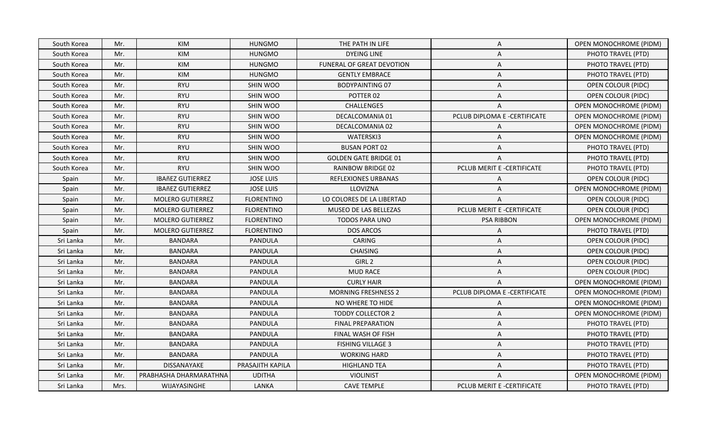| South Korea | Mr.  | <b>KIM</b>              | <b>HUNGMO</b>     | THE PATH IN LIFE             | A                            | <b>OPEN MONOCHROME (PIDM)</b> |
|-------------|------|-------------------------|-------------------|------------------------------|------------------------------|-------------------------------|
| South Korea | Mr.  | KIM                     | <b>HUNGMO</b>     | <b>DYEING LINE</b>           | Α                            | PHOTO TRAVEL (PTD)            |
| South Korea | Mr.  | KIM                     | <b>HUNGMO</b>     | FUNERAL OF GREAT DEVOTION    | Α                            | PHOTO TRAVEL (PTD)            |
| South Korea | Mr.  | <b>KIM</b>              | <b>HUNGMO</b>     | <b>GENTLY EMBRACE</b>        | Α                            | PHOTO TRAVEL (PTD)            |
| South Korea | Mr.  | <b>RYU</b>              | <b>SHIN WOO</b>   | <b>BODYPAINTING 07</b>       | Α                            | <b>OPEN COLOUR (PIDC)</b>     |
| South Korea | Mr.  | <b>RYU</b>              | <b>SHIN WOO</b>   | POTTER 02                    | A                            | OPEN COLOUR (PIDC)            |
| South Korea | Mr.  | <b>RYU</b>              | SHIN WOO          | <b>CHALLENGE5</b>            | A                            | <b>OPEN MONOCHROME (PIDM)</b> |
| South Korea | Mr.  | <b>RYU</b>              | SHIN WOO          | DECALCOMANIA 01              | PCLUB DIPLOMA E -CERTIFICATE | <b>OPEN MONOCHROME (PIDM)</b> |
| South Korea | Mr.  | <b>RYU</b>              | SHIN WOO          | DECALCOMANIA 02              | A                            | <b>OPEN MONOCHROME (PIDM)</b> |
| South Korea | Mr.  | <b>RYU</b>              | <b>SHIN WOO</b>   | WATERSKI3                    | Α                            | <b>OPEN MONOCHROME (PIDM)</b> |
| South Korea | Mr.  | <b>RYU</b>              | SHIN WOO          | <b>BUSAN PORT 02</b>         | A                            | PHOTO TRAVEL (PTD)            |
| South Korea | Mr.  | <b>RYU</b>              | SHIN WOO          | <b>GOLDEN GATE BRIDGE 01</b> | Α                            | PHOTO TRAVEL (PTD)            |
| South Korea | Mr.  | <b>RYU</b>              | SHIN WOO          | RAINBOW BRIDGE 02            | PCLUB MERIT E -CERTIFICATE   | PHOTO TRAVEL (PTD)            |
| Spain       | Mr.  | <b>IBAñEZ GUTIERREZ</b> | <b>JOSE LUIS</b>  | REFLEXIONES URBANAS          | Α                            | <b>OPEN COLOUR (PIDC)</b>     |
| Spain       | Mr.  | <b>IBAñEZ GUTIERREZ</b> | <b>JOSE LUIS</b>  | LLOVIZNA                     | A                            | OPEN MONOCHROME (PIDM)        |
| Spain       | Mr.  | <b>MOLERO GUTIERREZ</b> | <b>FLORENTINO</b> | LO COLORES DE LA LIBERTAD    | A                            | OPEN COLOUR (PIDC)            |
| Spain       | Mr.  | <b>MOLERO GUTIERREZ</b> | <b>FLORENTINO</b> | MUSEO DE LAS BELLEZAS        | PCLUB MERIT E -CERTIFICATE   | OPEN COLOUR (PIDC)            |
| Spain       | Mr.  | MOLERO GUTIERREZ        | <b>FLORENTINO</b> | TODOS PARA UNO               | <b>PSA RIBBON</b>            | OPEN MONOCHROME (PIDM)        |
| Spain       | Mr.  | <b>MOLERO GUTIERREZ</b> | <b>FLORENTINO</b> | <b>DOS ARCOS</b>             | A                            | PHOTO TRAVEL (PTD)            |
| Sri Lanka   | Mr.  | <b>BANDARA</b>          | PANDULA           | <b>CARING</b>                | A                            | <b>OPEN COLOUR (PIDC)</b>     |
| Sri Lanka   | Mr.  | <b>BANDARA</b>          | <b>PANDULA</b>    | <b>CHAISING</b>              | Α                            | <b>OPEN COLOUR (PIDC)</b>     |
| Sri Lanka   | Mr.  | <b>BANDARA</b>          | <b>PANDULA</b>    | GIRL <sub>2</sub>            | Α                            | OPEN COLOUR (PIDC)            |
| Sri Lanka   | Mr.  | <b>BANDARA</b>          | PANDULA           | <b>MUD RACE</b>              | Α                            | <b>OPEN COLOUR (PIDC)</b>     |
| Sri Lanka   | Mr.  | <b>BANDARA</b>          | PANDULA           | <b>CURLY HAIR</b>            | A                            | OPEN MONOCHROME (PIDM)        |
| Sri Lanka   | Mr.  | <b>BANDARA</b>          | PANDULA           | <b>MORNING FRESHNESS 2</b>   | PCLUB DIPLOMA E -CERTIFICATE | <b>OPEN MONOCHROME (PIDM)</b> |
| Sri Lanka   | Mr.  | <b>BANDARA</b>          | PANDULA           | NO WHERE TO HIDE             | A                            | <b>OPEN MONOCHROME (PIDM)</b> |
| Sri Lanka   | Mr.  | <b>BANDARA</b>          | PANDULA           | <b>TODDY COLLECTOR 2</b>     | Α                            | <b>OPEN MONOCHROME (PIDM)</b> |
| Sri Lanka   | Mr.  | <b>BANDARA</b>          | PANDULA           | <b>FINAL PREPARATION</b>     | Α                            | PHOTO TRAVEL (PTD)            |
| Sri Lanka   | Mr.  | <b>BANDARA</b>          | PANDULA           | FINAL WASH OF FISH           | Α                            | PHOTO TRAVEL (PTD)            |
| Sri Lanka   | Mr.  | <b>BANDARA</b>          | PANDULA           | <b>FISHING VILLAGE 3</b>     | Α                            | PHOTO TRAVEL (PTD)            |
| Sri Lanka   | Mr.  | <b>BANDARA</b>          | PANDULA           | <b>WORKING HARD</b>          | A                            | PHOTO TRAVEL (PTD)            |
| Sri Lanka   | Mr.  | DISSANAYAKE             | PRASAJITH KAPILA  | <b>HIGHLAND TEA</b>          | Α                            | PHOTO TRAVEL (PTD)            |
| Sri Lanka   | Mr.  | PRABHASHA DHARMARATHNA  | <b>UDITHA</b>     | <b>VIOLINIST</b>             | Α                            | OPEN MONOCHROME (PIDM)        |
| Sri Lanka   | Mrs. | WIJAYASINGHE            | LANKA             | <b>CAVE TEMPLE</b>           | PCLUB MERIT E -CERTIFICATE   | PHOTO TRAVEL (PTD)            |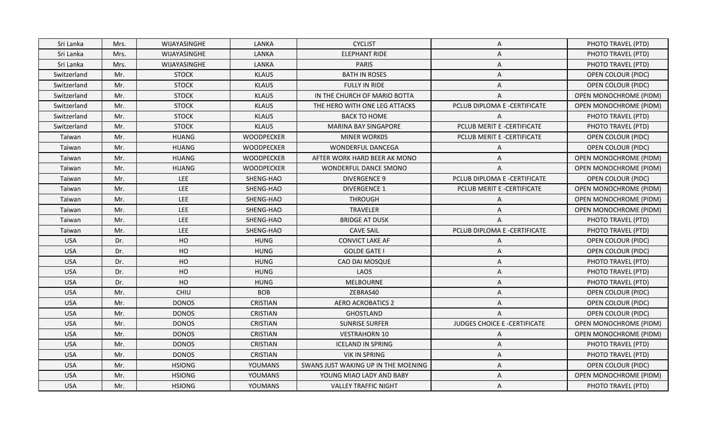| Sri Lanka   | Mrs. | WIJAYASINGHE  | LANKA             | <b>CYCLIST</b>                      | A                            | PHOTO TRAVEL (PTD)            |
|-------------|------|---------------|-------------------|-------------------------------------|------------------------------|-------------------------------|
| Sri Lanka   | Mrs. | WIJAYASINGHE  | LANKA             | <b>ELEPHANT RIDE</b>                | Α                            | PHOTO TRAVEL (PTD)            |
| Sri Lanka   | Mrs. | WIJAYASINGHE  | LANKA             | <b>PARIS</b>                        | A                            | PHOTO TRAVEL (PTD)            |
| Switzerland | Mr.  | <b>STOCK</b>  | <b>KLAUS</b>      | <b>BATH IN ROSES</b>                | A                            | <b>OPEN COLOUR (PIDC)</b>     |
| Switzerland | Mr.  | <b>STOCK</b>  | <b>KLAUS</b>      | FULLY IN RIDE                       | A                            | <b>OPEN COLOUR (PIDC)</b>     |
| Switzerland | Mr.  | <b>STOCK</b>  | <b>KLAUS</b>      | IN THE CHURCH OF MARIO BOTTA        | A                            | <b>OPEN MONOCHROME (PIDM)</b> |
| Switzerland | Mr.  | <b>STOCK</b>  | <b>KLAUS</b>      | THE HERO WITH ONE LEG ATTACKS       | PCLUB DIPLOMA E -CERTIFICATE | OPEN MONOCHROME (PIDM)        |
| Switzerland | Mr.  | <b>STOCK</b>  | <b>KLAUS</b>      | <b>BACK TO HOME</b>                 | A                            | PHOTO TRAVEL (PTD)            |
| Switzerland | Mr.  | <b>STOCK</b>  | <b>KLAUS</b>      | <b>MARINA BAY SINGAPORE</b>         | PCLUB MERIT E -CERTIFICATE   | PHOTO TRAVEL (PTD)            |
| Taiwan      | Mr.  | <b>HUANG</b>  | WOODPECKER        | <b>MINER WORK05</b>                 | PCLUB MERIT E -CERTIFICATE   | <b>OPEN COLOUR (PIDC)</b>     |
| Taiwan      | Mr.  | <b>HUANG</b>  | <b>WOODPECKER</b> | WONDERFUL DANCEGA                   | A                            | OPEN COLOUR (PIDC)            |
| Taiwan      | Mr.  | <b>HUANG</b>  | <b>WOODPECKER</b> | AFTER WORK HARD BEER AK MONO        | Α                            | OPEN MONOCHROME (PIDM)        |
| Taiwan      | Mr.  | <b>HUANG</b>  | WOODPECKER        | <b>WONDERFUL DANCE SMONO</b>        | A                            | OPEN MONOCHROME (PIDM)        |
| Taiwan      | Mr.  | LEE           | SHENG-HAO         | <b>DIVERGENCE 9</b>                 | PCLUB DIPLOMA E -CERTIFICATE | OPEN COLOUR (PIDC)            |
| Taiwan      | Mr.  | LEE           | SHENG-HAO         | <b>DIVERGENCE 1</b>                 | PCLUB MERIT E -CERTIFICATE   | <b>OPEN MONOCHROME (PIDM)</b> |
| Taiwan      | Mr.  | LEE           | SHENG-HAO         | THROUGH                             | A                            | OPEN MONOCHROME (PIDM)        |
| Taiwan      | Mr.  | LEE           | SHENG-HAO         | TRAVELER                            | Α                            | OPEN MONOCHROME (PIDM)        |
| Taiwan      | Mr.  | LEE           | SHENG-HAO         | <b>BRIDGE AT DUSK</b>               | A                            | PHOTO TRAVEL (PTD)            |
| Taiwan      | Mr.  | LEE           | SHENG-HAO         | <b>CAVE SAIL</b>                    | PCLUB DIPLOMA E -CERTIFICATE | PHOTO TRAVEL (PTD)            |
| <b>USA</b>  | Dr.  | HO            | <b>HUNG</b>       | <b>CONVICT LAKE AF</b>              | A                            | <b>OPEN COLOUR (PIDC)</b>     |
| <b>USA</b>  | Dr.  | HO            | <b>HUNG</b>       | <b>GOLDE GATE I</b>                 | Α                            | OPEN COLOUR (PIDC)            |
| <b>USA</b>  | Dr.  | HO            | <b>HUNG</b>       | CAO DAI MOSQUE                      | A                            | PHOTO TRAVEL (PTD)            |
| <b>USA</b>  | Dr.  | HO            | <b>HUNG</b>       | LAOS                                | A                            | PHOTO TRAVEL (PTD)            |
| <b>USA</b>  | Dr.  | HO            | <b>HUNG</b>       | <b>MELBOURNE</b>                    | A                            | PHOTO TRAVEL (PTD)            |
| <b>USA</b>  | Mr.  | CHIU          | <b>BOB</b>        | ZEBRAS40                            | A                            | <b>OPEN COLOUR (PIDC)</b>     |
| <b>USA</b>  | Mr.  | <b>DONOS</b>  | <b>CRISTIAN</b>   | <b>AERO ACROBATICS 2</b>            | A                            | OPEN COLOUR (PIDC)            |
| <b>USA</b>  | Mr.  | <b>DONOS</b>  | <b>CRISTIAN</b>   | <b>GHOSTLAND</b>                    | A                            | OPEN COLOUR (PIDC)            |
| <b>USA</b>  | Mr.  | <b>DONOS</b>  | <b>CRISTIAN</b>   | <b>SUNRISE SURFER</b>               | JUDGES CHOICE E -CERTIFICATE | <b>OPEN MONOCHROME (PIDM)</b> |
| <b>USA</b>  | Mr.  | <b>DONOS</b>  | <b>CRISTIAN</b>   | <b>VESTRAHORN 10</b>                | Α                            | <b>OPEN MONOCHROME (PIDM)</b> |
| <b>USA</b>  | Mr.  | <b>DONOS</b>  | <b>CRISTIAN</b>   | <b>ICELAND IN SPRING</b>            | Α                            | PHOTO TRAVEL (PTD)            |
| <b>USA</b>  | Mr.  | <b>DONOS</b>  | CRISTIAN          | <b>VIK IN SPRING</b>                | A                            | PHOTO TRAVEL (PTD)            |
| <b>USA</b>  | Mr.  | <b>HSIONG</b> | <b>YOUMANS</b>    | SWANS JUST WAKING UP IN THE MOENING | A                            | <b>OPEN COLOUR (PIDC)</b>     |
| <b>USA</b>  | Mr.  | <b>HSIONG</b> | YOUMANS           | YOUNG MIAO LADY AND BABY            | A                            | OPEN MONOCHROME (PIDM)        |
| <b>USA</b>  | Mr.  | <b>HSIONG</b> | YOUMANS           | <b>VALLEY TRAFFIC NIGHT</b>         | $\mathsf{A}$                 | PHOTO TRAVEL (PTD)            |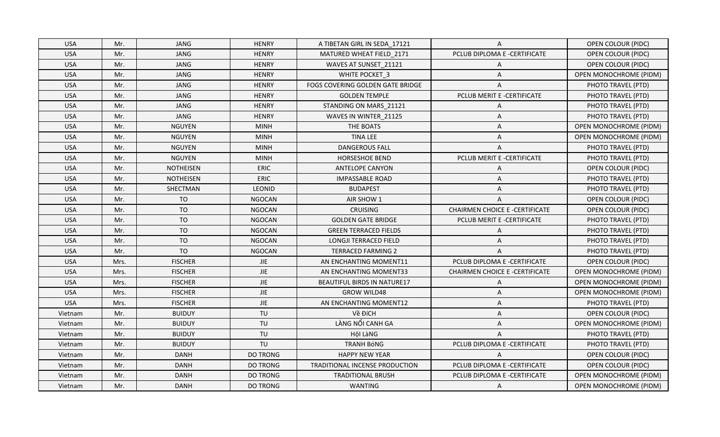| <b>USA</b> | Mr.  | <b>JANG</b>      | <b>HENRY</b>    | A TIBETAN GIRL IN SEDA 17121       | A                                     | OPEN COLOUR (PIDC)            |
|------------|------|------------------|-----------------|------------------------------------|---------------------------------------|-------------------------------|
| <b>USA</b> | Mr.  | <b>JANG</b>      | <b>HENRY</b>    | MATURED WHEAT FIELD_2171           | PCLUB DIPLOMA E -CERTIFICATE          | <b>OPEN COLOUR (PIDC)</b>     |
| <b>USA</b> | Mr.  | <b>JANG</b>      | <b>HENRY</b>    | WAVES AT SUNSET_21121              | Α                                     | <b>OPEN COLOUR (PIDC)</b>     |
| <b>USA</b> | Mr.  | <b>JANG</b>      | <b>HENRY</b>    | WHITE POCKET_3                     | A                                     | OPEN MONOCHROME (PIDM)        |
| <b>USA</b> | Mr.  | <b>JANG</b>      | <b>HENRY</b>    | FOGS COVERING GOLDEN GATE BRIDGE   | A                                     | PHOTO TRAVEL (PTD)            |
| <b>USA</b> | Mr.  | <b>JANG</b>      | <b>HENRY</b>    | <b>GOLDEN TEMPLE</b>               | PCLUB MERIT E -CERTIFICATE            | PHOTO TRAVEL (PTD)            |
| <b>USA</b> | Mr.  | <b>JANG</b>      | <b>HENRY</b>    | STANDING ON MARS 21121             | A                                     | PHOTO TRAVEL (PTD)            |
| <b>USA</b> | Mr.  | JANG             | <b>HENRY</b>    | WAVES IN WINTER_21125              | Α                                     | PHOTO TRAVEL (PTD)            |
| <b>USA</b> | Mr.  | <b>NGUYEN</b>    | <b>MINH</b>     | THE BOATS                          | A                                     | <b>OPEN MONOCHROME (PIDM)</b> |
| <b>USA</b> | Mr.  | <b>NGUYEN</b>    | <b>MINH</b>     | <b>TINA LEE</b>                    | A                                     | <b>OPEN MONOCHROME (PIDM)</b> |
| <b>USA</b> | Mr.  | <b>NGUYEN</b>    | <b>MINH</b>     | <b>DANGEROUS FALL</b>              | A                                     | PHOTO TRAVEL (PTD)            |
| <b>USA</b> | Mr.  | <b>NGUYEN</b>    | <b>MINH</b>     | HORSESHOE BEND                     | PCLUB MERIT E -CERTIFICATE            | PHOTO TRAVEL (PTD)            |
| <b>USA</b> | Mr.  | <b>NOTHEISEN</b> | ERIC            | <b>ANTELOPE CANYON</b>             | A                                     | OPEN COLOUR (PIDC)            |
| <b>USA</b> | Mr.  | <b>NOTHEISEN</b> | ERIC            | <b>IMPASSABLE ROAD</b>             | A                                     | PHOTO TRAVEL (PTD)            |
| <b>USA</b> | Mr.  | SHECTMAN         | LEONID          | <b>BUDAPEST</b>                    | A                                     | PHOTO TRAVEL (PTD)            |
| <b>USA</b> | Mr.  | <b>TO</b>        | <b>NGOCAN</b>   | AIR SHOW 1                         | A                                     | <b>OPEN COLOUR (PIDC)</b>     |
| <b>USA</b> | Mr.  | <b>TO</b>        | <b>NGOCAN</b>   | <b>CRUISING</b>                    | <b>CHAIRMEN CHOICE E -CERTIFICATE</b> | <b>OPEN COLOUR (PIDC)</b>     |
| <b>USA</b> | Mr.  | <b>TO</b>        | <b>NGOCAN</b>   | <b>GOLDEN GATE BRIDGE</b>          | PCLUB MERIT E -CERTIFICATE            | PHOTO TRAVEL (PTD)            |
| <b>USA</b> | Mr.  | <b>TO</b>        | <b>NGOCAN</b>   | <b>GREEN TERRACED FIELDS</b>       | A                                     | PHOTO TRAVEL (PTD)            |
| <b>USA</b> | Mr.  | <b>TO</b>        | <b>NGOCAN</b>   | <b>LONGJI TERRACED FIELD</b>       | A                                     | PHOTO TRAVEL (PTD)            |
| <b>USA</b> | Mr.  | <b>TO</b>        | <b>NGOCAN</b>   | <b>TERRACED FARMING 2</b>          | A                                     | PHOTO TRAVEL (PTD)            |
| <b>USA</b> | Mrs. | <b>FISCHER</b>   | <b>JIE</b>      | AN ENCHANTING MOMENT11             | PCLUB DIPLOMA E -CERTIFICATE          | OPEN COLOUR (PIDC)            |
| <b>USA</b> | Mrs. | <b>FISCHER</b>   | $\mathsf{JIE}$  | AN ENCHANTING MOMENT33             | <b>CHAIRMEN CHOICE E -CERTIFICATE</b> | OPEN MONOCHROME (PIDM)        |
| <b>USA</b> | Mrs. | <b>FISCHER</b>   | <b>JIE</b>      | <b>BEAUTIFUL BIRDS IN NATURE17</b> | A                                     | <b>OPEN MONOCHROME (PIDM)</b> |
| <b>USA</b> | Mrs. | <b>FISCHER</b>   | <b>JIE</b>      | <b>GROW WILD48</b>                 | A                                     | OPEN MONOCHROME (PIDM)        |
| <b>USA</b> | Mrs. | <b>FISCHER</b>   | $\mathsf{JIE}$  | AN ENCHANTING MOMENT12             | A                                     | PHOTO TRAVEL (PTD)            |
| Vietnam    | Mr.  | <b>BUIDUY</b>    | TU              | Về ĐíCH                            | A                                     | <b>OPEN COLOUR (PIDC)</b>     |
| Vietnam    | Mr.  | <b>BUIDUY</b>    | TU              | LÀNG NỔI CANH GA                   | A                                     | <b>OPEN MONOCHROME (PIDM)</b> |
| Vietnam    | Mr.  | <b>BUIDUY</b>    | TU              | HộI LàNG                           | $\mathsf{A}$                          | PHOTO TRAVEL (PTD)            |
| Vietnam    | Mr.  | <b>BUIDUY</b>    | TU              | <b>TRANH BÓNG</b>                  | PCLUB DIPLOMA E -CERTIFICATE          | PHOTO TRAVEL (PTD)            |
| Vietnam    | Mr.  | <b>DANH</b>      | <b>DO TRONG</b> | <b>HAPPY NEW YEAR</b>              | A                                     | OPEN COLOUR (PIDC)            |
| Vietnam    | Mr.  | <b>DANH</b>      | <b>DO TRONG</b> | TRADITIONAL INCENSE PRODUCTION     | PCLUB DIPLOMA E -CERTIFICATE          | OPEN COLOUR (PIDC)            |
| Vietnam    | Mr.  | <b>DANH</b>      | <b>DO TRONG</b> | <b>TRADITIONAL BRUSH</b>           | PCLUB DIPLOMA E -CERTIFICATE          | OPEN MONOCHROME (PIDM)        |
| Vietnam    | Mr.  | <b>DANH</b>      | <b>DO TRONG</b> | <b>WANTING</b>                     | A                                     | OPEN MONOCHROME (PIDM)        |